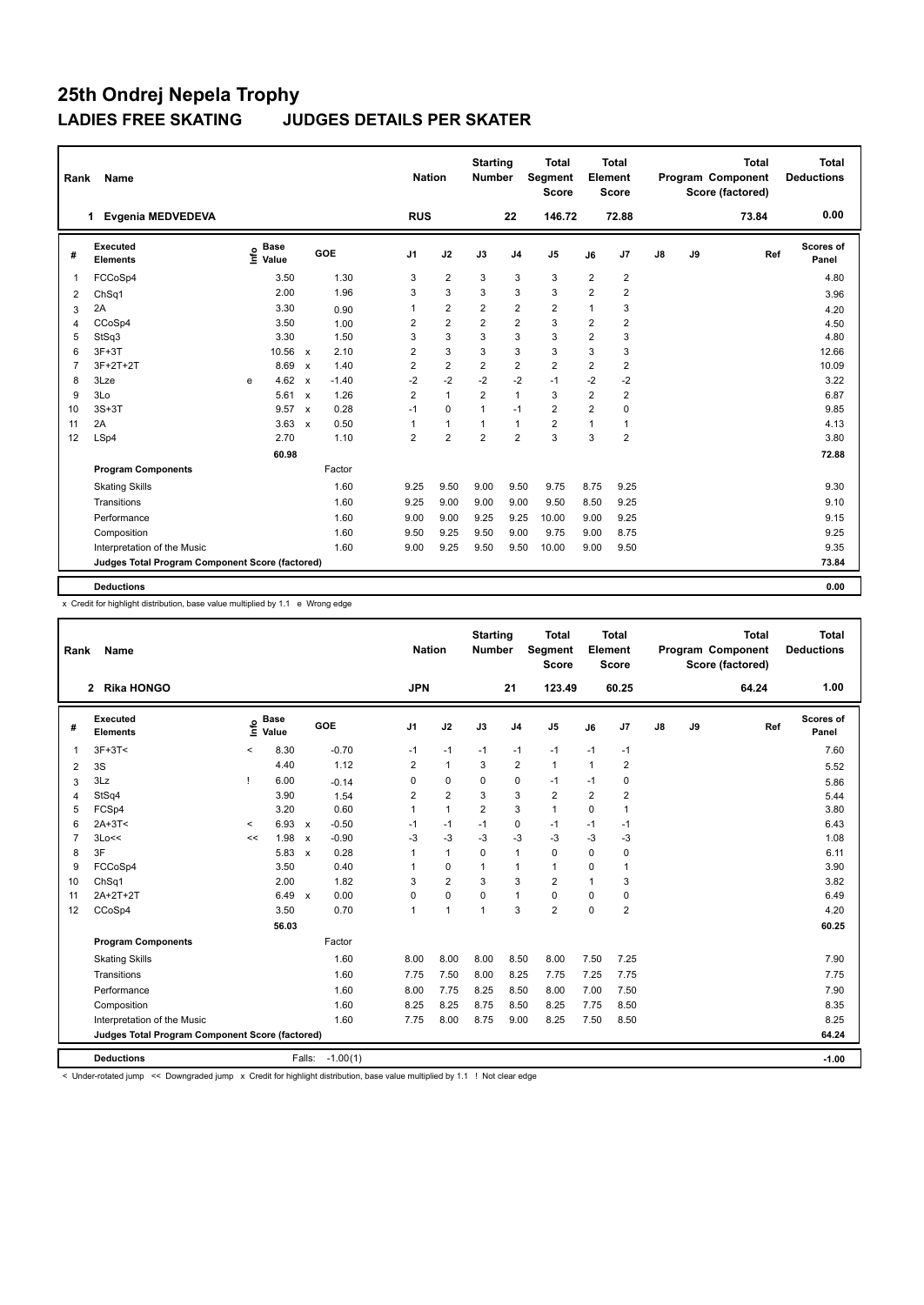| <b>RUS</b><br>146.72<br>72.88<br>Evgenia MEDVEDEVA<br>22<br>73.84<br>1<br>Executed<br><b>Base</b><br>lnfo<br><b>GOE</b><br>J2<br>J9<br>J <sub>1</sub><br>J3<br>J <sub>4</sub><br>J <sub>5</sub><br>J7<br>$\mathsf{J}8$<br>Ref<br>J6<br>#<br>Value<br><b>Elements</b> | 0.00<br>Scores of<br>Panel<br>4.80<br>3.96 |
|----------------------------------------------------------------------------------------------------------------------------------------------------------------------------------------------------------------------------------------------------------------------|--------------------------------------------|
|                                                                                                                                                                                                                                                                      |                                            |
|                                                                                                                                                                                                                                                                      |                                            |
| $\overline{2}$<br>3.50<br>1.30<br>3<br>3<br>3<br>3<br>$\overline{2}$<br>$\overline{2}$<br>FCCoSp4<br>$\overline{1}$                                                                                                                                                  |                                            |
| 1.96<br>3<br>3<br>3<br>3<br>3<br>$\overline{2}$<br>$\overline{2}$<br>2.00<br>ChSq1<br>2                                                                                                                                                                              |                                            |
| $\overline{2}$<br>$\overline{2}$<br>$\overline{2}$<br>$\overline{2}$<br>3<br>2A<br>3.30<br>1<br>1<br>0.90<br>3                                                                                                                                                       | 4.20                                       |
| $\overline{2}$<br>$\overline{2}$<br>$\overline{2}$<br>3<br>CCoSp4<br>3.50<br>2<br>$\overline{2}$<br>$\overline{2}$<br>1.00<br>4                                                                                                                                      | 4.50                                       |
| 3<br>3<br>3<br>3<br>$\overline{2}$<br>3<br>StSq3<br>3.30<br>1.50<br>3<br>5                                                                                                                                                                                           | 4.80                                       |
| 3<br>3<br>3<br>10.56<br>2<br>3<br>3<br>3<br>$3F+3T$<br>2.10<br>6<br>$\mathsf{x}$                                                                                                                                                                                     | 12.66                                      |
| $\overline{2}$<br>$\overline{2}$<br>$\overline{2}$<br>2<br>$\overline{2}$<br>3F+2T+2T<br>$\overline{2}$<br>$\overline{2}$<br>$\overline{7}$<br>8.69<br>1.40<br>$\mathsf{x}$                                                                                          | 10.09                                      |
| $-2$<br>$-2$<br>$-1$<br>$-2$<br>$-2$<br>$-2$<br>4.62<br>$-1.40$<br>$-2$<br>3Lze<br>8<br>$\mathsf{x}$<br>e                                                                                                                                                            | 3.22                                       |
| $\mathbf{1}$<br>$\overline{2}$<br>$\overline{2}$<br>$\mathbf{1}$<br>3<br>$\overline{2}$<br>$\overline{2}$<br>1.26<br>9<br>3Lo<br>5.61<br>$\boldsymbol{\mathsf{x}}$                                                                                                   | 6.87                                       |
| $\overline{2}$<br>0.28<br>$\overline{2}$<br>$3S+3T$<br>9.57<br>0<br>0<br>10<br>$\boldsymbol{\mathsf{x}}$<br>$-1$<br>$\mathbf{1}$<br>$-1$                                                                                                                             | 9.85                                       |
| $\overline{2}$<br>2A<br>3.63<br>0.50<br>$\mathbf{1}$<br>$\mathbf{1}$<br>11<br>1<br>$\mathbf{1}$<br>1<br>$\mathsf{x}$<br>1                                                                                                                                            | 4.13                                       |
| 3<br>$\overline{2}$<br>$\overline{2}$<br>$\overline{2}$<br>3<br>1.10<br>$\overline{2}$<br>$\overline{2}$<br>LSp4<br>2.70<br>12                                                                                                                                       | 3.80                                       |
| 60.98                                                                                                                                                                                                                                                                | 72.88                                      |
| <b>Program Components</b><br>Factor                                                                                                                                                                                                                                  |                                            |
| 1.60<br>9.50<br>9.00<br>9.50<br>9.75<br>8.75<br><b>Skating Skills</b><br>9.25<br>9.25                                                                                                                                                                                | 9.30                                       |
| 1.60<br>9.00<br>9.00<br>9.00<br>9.50<br>Transitions<br>9.25<br>8.50<br>9.25                                                                                                                                                                                          | 9.10                                       |
| Performance<br>1.60<br>9.00<br>9.00<br>9.25<br>9.25<br>10.00<br>9.00<br>9.25                                                                                                                                                                                         | 9.15                                       |
| Composition<br>1.60<br>9.50<br>9.25<br>9.50<br>9.00<br>9.75<br>9.00<br>8.75                                                                                                                                                                                          | 9.25                                       |
| 9.25<br>Interpretation of the Music<br>1.60<br>9.00<br>9.50<br>9.50<br>10.00<br>9.00<br>9.50                                                                                                                                                                         | 9.35                                       |
| Judges Total Program Component Score (factored)                                                                                                                                                                                                                      | 73.84                                      |
| <b>Deductions</b>                                                                                                                                                                                                                                                    | 0.00                                       |

x Credit for highlight distribution, base value multiplied by 1.1 e Wrong edge

| Rank           | Name                                            |         |                      |                           |            | <b>Nation</b>  |                | <b>Starting</b><br><b>Number</b> |                | Total<br><b>Segment</b><br><b>Score</b> |                | <b>Total</b><br>Element<br><b>Score</b> |               |    | <b>Total</b><br>Program Component<br>Score (factored) | <b>Total</b><br><b>Deductions</b> |
|----------------|-------------------------------------------------|---------|----------------------|---------------------------|------------|----------------|----------------|----------------------------------|----------------|-----------------------------------------|----------------|-----------------------------------------|---------------|----|-------------------------------------------------------|-----------------------------------|
|                | <b>Rika HONGO</b><br>$\mathbf{2}$               |         |                      |                           |            | <b>JPN</b>     |                |                                  | 21             | 123.49                                  |                | 60.25                                   |               |    | 64.24                                                 | 1.00                              |
| #              | Executed<br><b>Elements</b>                     | lnfo    | <b>Base</b><br>Value |                           | GOE        | J <sub>1</sub> | J2             | J3                               | J <sub>4</sub> | J <sub>5</sub>                          | J6             | J7                                      | $\mathsf{J}8$ | J9 | Ref                                                   | <b>Scores of</b><br>Panel         |
| $\mathbf{1}$   | $3F+3T<$                                        | $\,<$   | 8.30                 |                           | $-0.70$    | $-1$           | $-1$           | $-1$                             | $-1$           | $-1$                                    | $-1$           | $-1$                                    |               |    |                                                       | 7.60                              |
| 2              | 3S                                              |         | 4.40                 |                           | 1.12       | 2              | $\mathbf{1}$   | 3                                | $\overline{2}$ | $\mathbf{1}$                            | $\mathbf{1}$   | 2                                       |               |    |                                                       | 5.52                              |
| 3              | 3Lz                                             | т       | 6.00                 |                           | $-0.14$    | 0              | 0              | 0                                | $\mathbf 0$    | $-1$                                    | $-1$           | 0                                       |               |    |                                                       | 5.86                              |
| $\overline{4}$ | StSq4                                           |         | 3.90                 |                           | 1.54       | 2              | $\overline{2}$ | 3                                | 3              | $\overline{2}$                          | $\overline{2}$ | $\overline{2}$                          |               |    |                                                       | 5.44                              |
| 5              | FCSp4                                           |         | 3.20                 |                           | 0.60       | $\mathbf{1}$   | $\mathbf{1}$   | $\overline{2}$                   | 3              | $\mathbf{1}$                            | 0              | $\mathbf{1}$                            |               |    |                                                       | 3.80                              |
| 6              | $2A+3T<$                                        | $\prec$ | 6.93                 | $\mathsf{x}$              | $-0.50$    | $-1$           | $-1$           | $-1$                             | $\mathbf 0$    | $-1$                                    | $-1$           | $-1$                                    |               |    |                                                       | 6.43                              |
| $\overline{7}$ | 3Lo<<                                           | <<      | 1.98                 | $\mathsf{x}$              | $-0.90$    | -3             | $-3$           | $-3$                             | $-3$           | $-3$                                    | $-3$           | $-3$                                    |               |    |                                                       | 1.08                              |
| 8              | 3F                                              |         | 5.83                 | $\boldsymbol{\mathsf{x}}$ | 0.28       | 1              | $\mathbf{1}$   | $\mathbf 0$                      | $\mathbf{1}$   | 0                                       | $\mathbf 0$    | 0                                       |               |    |                                                       | 6.11                              |
| 9              | FCCoSp4                                         |         | 3.50                 |                           | 0.40       | 1              | 0              | $\mathbf{1}$                     | $\mathbf{1}$   | $\mathbf{1}$                            | 0              | 1                                       |               |    |                                                       | 3.90                              |
| 10             | ChSq1                                           |         | 2.00                 |                           | 1.82       | 3              | $\overline{2}$ | 3                                | 3              | $\overline{2}$                          | 1              | 3                                       |               |    |                                                       | 3.82                              |
| 11             | $2A+2T+2T$                                      |         | 6.49                 | $\mathsf{x}$              | 0.00       | 0              | $\pmb{0}$      | 0                                | $\mathbf{1}$   | 0                                       | 0              | 0                                       |               |    |                                                       | 6.49                              |
| 12             | CCoSp4                                          |         | 3.50                 |                           | 0.70       | 1              | 1              | 1                                | 3              | $\overline{2}$                          | $\mathbf 0$    | $\overline{2}$                          |               |    |                                                       | 4.20                              |
|                |                                                 |         | 56.03                |                           |            |                |                |                                  |                |                                         |                |                                         |               |    |                                                       | 60.25                             |
|                | <b>Program Components</b>                       |         |                      |                           | Factor     |                |                |                                  |                |                                         |                |                                         |               |    |                                                       |                                   |
|                | <b>Skating Skills</b>                           |         |                      |                           | 1.60       | 8.00           | 8.00           | 8.00                             | 8.50           | 8.00                                    | 7.50           | 7.25                                    |               |    |                                                       | 7.90                              |
|                | Transitions                                     |         |                      |                           | 1.60       | 7.75           | 7.50           | 8.00                             | 8.25           | 7.75                                    | 7.25           | 7.75                                    |               |    |                                                       | 7.75                              |
|                | Performance                                     |         |                      |                           | 1.60       | 8.00           | 7.75           | 8.25                             | 8.50           | 8.00                                    | 7.00           | 7.50                                    |               |    |                                                       | 7.90                              |
|                | Composition                                     |         |                      |                           | 1.60       | 8.25           | 8.25           | 8.75                             | 8.50           | 8.25                                    | 7.75           | 8.50                                    |               |    |                                                       | 8.35                              |
|                | Interpretation of the Music                     |         |                      |                           | 1.60       | 7.75           | 8.00           | 8.75                             | 9.00           | 8.25                                    | 7.50           | 8.50                                    |               |    |                                                       | 8.25                              |
|                | Judges Total Program Component Score (factored) |         |                      |                           |            |                |                |                                  |                |                                         |                |                                         |               |    |                                                       | 64.24                             |
|                | <b>Deductions</b>                               |         |                      | Falls:                    | $-1.00(1)$ |                |                |                                  |                |                                         |                |                                         |               |    |                                                       | $-1.00$                           |

< Under-rotated jump << Downgraded jump x Credit for highlight distribution, base value multiplied by 1.1 ! Not clear edge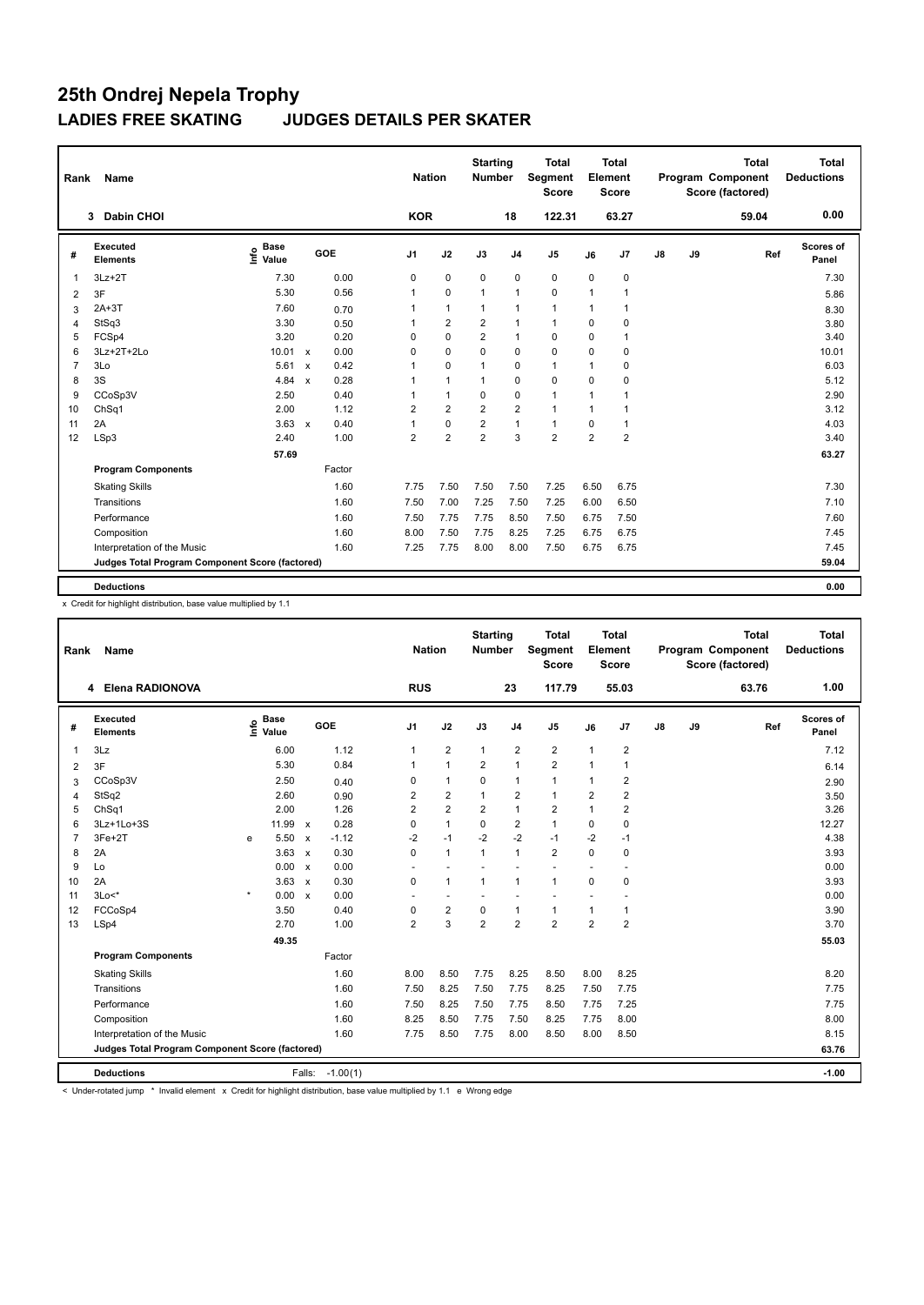| Rank           | Name                                            |                              |                           |        |                | <b>Nation</b> |                | <b>Starting</b><br><b>Number</b> |                | <b>Total</b><br><b>Segment</b><br><b>Score</b> |                | <b>Total</b><br>Element<br><b>Score</b> |               |    | <b>Total</b><br>Program Component<br>Score (factored) | <b>Total</b><br><b>Deductions</b> |
|----------------|-------------------------------------------------|------------------------------|---------------------------|--------|----------------|---------------|----------------|----------------------------------|----------------|------------------------------------------------|----------------|-----------------------------------------|---------------|----|-------------------------------------------------------|-----------------------------------|
|                | <b>Dabin CHOI</b><br>3                          |                              |                           |        |                | <b>KOR</b>    |                |                                  | 18             | 122.31                                         |                | 63.27                                   |               |    | 59.04                                                 | 0.00                              |
| #              | Executed<br><b>Elements</b>                     | <b>Base</b><br>١nf٥<br>Value |                           | GOE    | J <sub>1</sub> |               | J2             | J3                               | J <sub>4</sub> | J <sub>5</sub>                                 | J6             | J7                                      | $\mathsf{J}8$ | J9 | Ref                                                   | Scores of<br>Panel                |
| 1              | $3Lz + 2T$                                      | 7.30                         |                           | 0.00   | 0              |               | $\mathbf 0$    | $\mathbf 0$                      | $\pmb{0}$      | $\mathbf 0$                                    | $\mathbf 0$    | 0                                       |               |    |                                                       | 7.30                              |
| $\overline{2}$ | 3F                                              | 5.30                         |                           | 0.56   | 1              |               | $\mathbf 0$    | $\overline{1}$                   | $\overline{1}$ | 0                                              | 1              | 1                                       |               |    |                                                       | 5.86                              |
| 3              | $2A+3T$                                         | 7.60                         |                           | 0.70   | 1              |               | $\overline{1}$ | $\mathbf{1}$                     | $\mathbf{1}$   | $\mathbf{1}$                                   | 1              | 1                                       |               |    |                                                       | 8.30                              |
| 4              | StSq3                                           | 3.30                         |                           | 0.50   | 1              |               | $\overline{2}$ | $\overline{2}$                   | $\mathbf{1}$   | $\mathbf{1}$                                   | $\Omega$       | $\Omega$                                |               |    |                                                       | 3.80                              |
| 5              | FCSp4                                           | 3.20                         |                           | 0.20   | 0              |               | $\mathbf 0$    | $\overline{2}$                   | $\mathbf{1}$   | 0                                              | 0              | 1                                       |               |    |                                                       | 3.40                              |
| 6              | 3Lz+2T+2Lo                                      | 10.01 x                      |                           | 0.00   | 0              |               | $\mathbf 0$    | $\mathbf 0$                      | $\mathbf 0$    | $\mathbf 0$                                    | 0              | 0                                       |               |    |                                                       | 10.01                             |
| $\overline{7}$ | 3Lo                                             | 5.61                         | $\mathsf{x}$              | 0.42   | 1              |               | 0              | $\overline{1}$                   | 0              | $\mathbf{1}$                                   | $\mathbf{1}$   | 0                                       |               |    |                                                       | 6.03                              |
| 8              | 3S                                              | 4.84                         | $\mathsf{x}$              | 0.28   | 1              |               | $\overline{1}$ | $\mathbf{1}$                     | $\mathbf 0$    | 0                                              | 0              | 0                                       |               |    |                                                       | 5.12                              |
| 9              | CCoSp3V                                         | 2.50                         |                           | 0.40   | 1              |               | $\mathbf{1}$   | $\Omega$                         | $\mathbf 0$    | $\mathbf{1}$                                   | 1              | 1                                       |               |    |                                                       | 2.90                              |
| 10             | ChSq1                                           | 2.00                         |                           | 1.12   | $\overline{2}$ |               | $\overline{2}$ | $\overline{2}$                   | $\overline{2}$ | $\mathbf{1}$                                   | $\mathbf{1}$   | 1                                       |               |    |                                                       | 3.12                              |
| 11             | 2A                                              | 3.63                         | $\boldsymbol{\mathsf{x}}$ | 0.40   | 1              |               | $\mathbf 0$    | $\overline{2}$                   | $\mathbf{1}$   | $\mathbf{1}$                                   | 0              | 1                                       |               |    |                                                       | 4.03                              |
| 12             | LSp3                                            | 2.40                         |                           | 1.00   | 2              |               | $\overline{2}$ | $\overline{2}$                   | 3              | $\overline{2}$                                 | $\overline{2}$ | $\overline{2}$                          |               |    |                                                       | 3.40                              |
|                |                                                 | 57.69                        |                           |        |                |               |                |                                  |                |                                                |                |                                         |               |    |                                                       | 63.27                             |
|                | <b>Program Components</b>                       |                              |                           | Factor |                |               |                |                                  |                |                                                |                |                                         |               |    |                                                       |                                   |
|                | <b>Skating Skills</b>                           |                              |                           | 1.60   | 7.75           |               | 7.50           | 7.50                             | 7.50           | 7.25                                           | 6.50           | 6.75                                    |               |    |                                                       | 7.30                              |
|                | Transitions                                     |                              |                           | 1.60   | 7.50           |               | 7.00           | 7.25                             | 7.50           | 7.25                                           | 6.00           | 6.50                                    |               |    |                                                       | 7.10                              |
|                | Performance                                     |                              |                           | 1.60   | 7.50           |               | 7.75           | 7.75                             | 8.50           | 7.50                                           | 6.75           | 7.50                                    |               |    |                                                       | 7.60                              |
|                | Composition                                     |                              |                           | 1.60   | 8.00           |               | 7.50           | 7.75                             | 8.25           | 7.25                                           | 6.75           | 6.75                                    |               |    |                                                       | 7.45                              |
|                | Interpretation of the Music                     |                              |                           | 1.60   | 7.25           |               | 7.75           | 8.00                             | 8.00           | 7.50                                           | 6.75           | 6.75                                    |               |    |                                                       | 7.45                              |
|                | Judges Total Program Component Score (factored) |                              |                           |        |                |               |                |                                  |                |                                                |                |                                         |               |    |                                                       | 59.04                             |
|                | <b>Deductions</b>                               |                              |                           |        |                |               |                |                                  |                |                                                |                |                                         |               |    |                                                       | 0.00                              |

x Credit for highlight distribution, base value multiplied by 1.1

| Rank           | Name                                            |         |                            |              |            | <b>Nation</b>  |                | <b>Starting</b><br><b>Number</b> |                | <b>Total</b><br>Segment<br><b>Score</b> |                | <b>Total</b><br>Element<br><b>Score</b> |               |    | <b>Total</b><br>Program Component<br>Score (factored) |     | <b>Total</b><br><b>Deductions</b> |
|----------------|-------------------------------------------------|---------|----------------------------|--------------|------------|----------------|----------------|----------------------------------|----------------|-----------------------------------------|----------------|-----------------------------------------|---------------|----|-------------------------------------------------------|-----|-----------------------------------|
|                | 4 Elena RADIONOVA                               |         |                            |              |            | <b>RUS</b>     |                |                                  | 23             | 117.79                                  |                | 55.03                                   |               |    | 63.76                                                 |     | 1.00                              |
| #              | Executed<br><b>Elements</b>                     |         | e Base<br>E Value<br>Value | <b>GOE</b>   |            | J <sub>1</sub> | J2             | J3                               | J <sub>4</sub> | J <sub>5</sub>                          | J6             | J7                                      | $\mathsf{J}8$ | J9 |                                                       | Ref | Scores of<br>Panel                |
| 1              | 3Lz                                             |         | 6.00                       |              | 1.12       | 1              | $\overline{2}$ | $\mathbf{1}$                     | $\overline{2}$ | $\overline{2}$                          | $\mathbf{1}$   | $\overline{\mathbf{c}}$                 |               |    |                                                       |     | 7.12                              |
| 2              | 3F                                              |         | 5.30                       |              | 0.84       | 1              | $\mathbf{1}$   | 2                                | $\mathbf{1}$   | $\overline{2}$                          | $\mathbf{1}$   | 1                                       |               |    |                                                       |     | 6.14                              |
| 3              | CCoSp3V                                         |         | 2.50                       |              | 0.40       | 0              | $\mathbf{1}$   | $\Omega$                         | $\mathbf{1}$   | $\mathbf{1}$                            | $\mathbf{1}$   | $\overline{2}$                          |               |    |                                                       |     | 2.90                              |
| 4              | StSq2                                           |         | 2.60                       |              | 0.90       | 2              | $\overline{2}$ | $\mathbf{1}$                     | $\overline{2}$ | $\mathbf{1}$                            | $\overline{2}$ | $\overline{\mathbf{c}}$                 |               |    |                                                       |     | 3.50                              |
| 5              | ChSq1                                           |         | 2.00                       |              | 1.26       | $\overline{2}$ | $\overline{2}$ | 2                                | $\mathbf{1}$   | $\overline{2}$                          | 1              | $\overline{2}$                          |               |    |                                                       |     | 3.26                              |
| 6              | 3Lz+1Lo+3S                                      |         | 11.99 $x$                  |              | 0.28       | 0              | $\mathbf{1}$   | $\Omega$                         | $\overline{2}$ | $\mathbf{1}$                            | 0              | 0                                       |               |    |                                                       |     | 12.27                             |
| $\overline{7}$ | 3Fe+2T                                          | e       | 5.50                       | $\mathsf{x}$ | $-1.12$    | -2             | $-1$           | $-2$                             | $-2$           | $-1$                                    | $-2$           | $-1$                                    |               |    |                                                       |     | 4.38                              |
| 8              | 2A                                              |         | $3.63 \times$              |              | 0.30       | 0              | $\mathbf{1}$   | $\mathbf{1}$                     | $\overline{1}$ | $\overline{2}$                          | $\Omega$       | 0                                       |               |    |                                                       |     | 3.93                              |
| 9              | Lo                                              |         | 0.00                       | $\mathsf{x}$ | 0.00       |                |                |                                  |                |                                         |                |                                         |               |    |                                                       |     | 0.00                              |
| 10             | 2A                                              |         | 3.63                       | $\mathsf{x}$ | 0.30       | 0              | $\mathbf{1}$   | $\mathbf{1}$                     | $\overline{1}$ | $\mathbf{1}$                            | $\mathbf 0$    | 0                                       |               |    |                                                       |     | 3.93                              |
| 11             | $3Lo<^*$                                        | $\star$ | 0.00 x                     |              | 0.00       |                | $\overline{a}$ | $\overline{a}$                   | ÷              |                                         |                |                                         |               |    |                                                       |     | 0.00                              |
| 12             | FCCoSp4                                         |         | 3.50                       |              | 0.40       | 0              | $\overline{2}$ | $\mathbf 0$                      | $\mathbf{1}$   | $\mathbf{1}$                            | 1              | 1                                       |               |    |                                                       |     | 3.90                              |
| 13             | LSp4                                            |         | 2.70                       |              | 1.00       | $\overline{2}$ | $\overline{3}$ | $\overline{2}$                   | $\overline{2}$ | $\overline{2}$                          | $\overline{2}$ | $\overline{2}$                          |               |    |                                                       |     | 3.70                              |
|                |                                                 |         | 49.35                      |              |            |                |                |                                  |                |                                         |                |                                         |               |    |                                                       |     | 55.03                             |
|                | <b>Program Components</b>                       |         |                            |              | Factor     |                |                |                                  |                |                                         |                |                                         |               |    |                                                       |     |                                   |
|                | <b>Skating Skills</b>                           |         |                            |              | 1.60       | 8.00           | 8.50           | 7.75                             | 8.25           | 8.50                                    | 8.00           | 8.25                                    |               |    |                                                       |     | 8.20                              |
|                | Transitions                                     |         |                            |              | 1.60       | 7.50           | 8.25           | 7.50                             | 7.75           | 8.25                                    | 7.50           | 7.75                                    |               |    |                                                       |     | 7.75                              |
|                | Performance                                     |         |                            |              | 1.60       | 7.50           | 8.25           | 7.50                             | 7.75           | 8.50                                    | 7.75           | 7.25                                    |               |    |                                                       |     | 7.75                              |
|                | Composition                                     |         |                            |              | 1.60       | 8.25           | 8.50           | 7.75                             | 7.50           | 8.25                                    | 7.75           | 8.00                                    |               |    |                                                       |     | 8.00                              |
|                | Interpretation of the Music                     |         |                            |              | 1.60       | 7.75           | 8.50           | 7.75                             | 8.00           | 8.50                                    | 8.00           | 8.50                                    |               |    |                                                       |     | 8.15                              |
|                | Judges Total Program Component Score (factored) |         |                            |              |            |                |                |                                  |                |                                         |                |                                         |               |    |                                                       |     | 63.76                             |
|                | <b>Deductions</b>                               |         |                            | Falls:       | $-1.00(1)$ |                |                |                                  |                |                                         |                |                                         |               |    |                                                       |     | $-1.00$                           |

< Under-rotated jump \* Invalid element x Credit for highlight distribution, base value multiplied by 1.1 e Wrong edge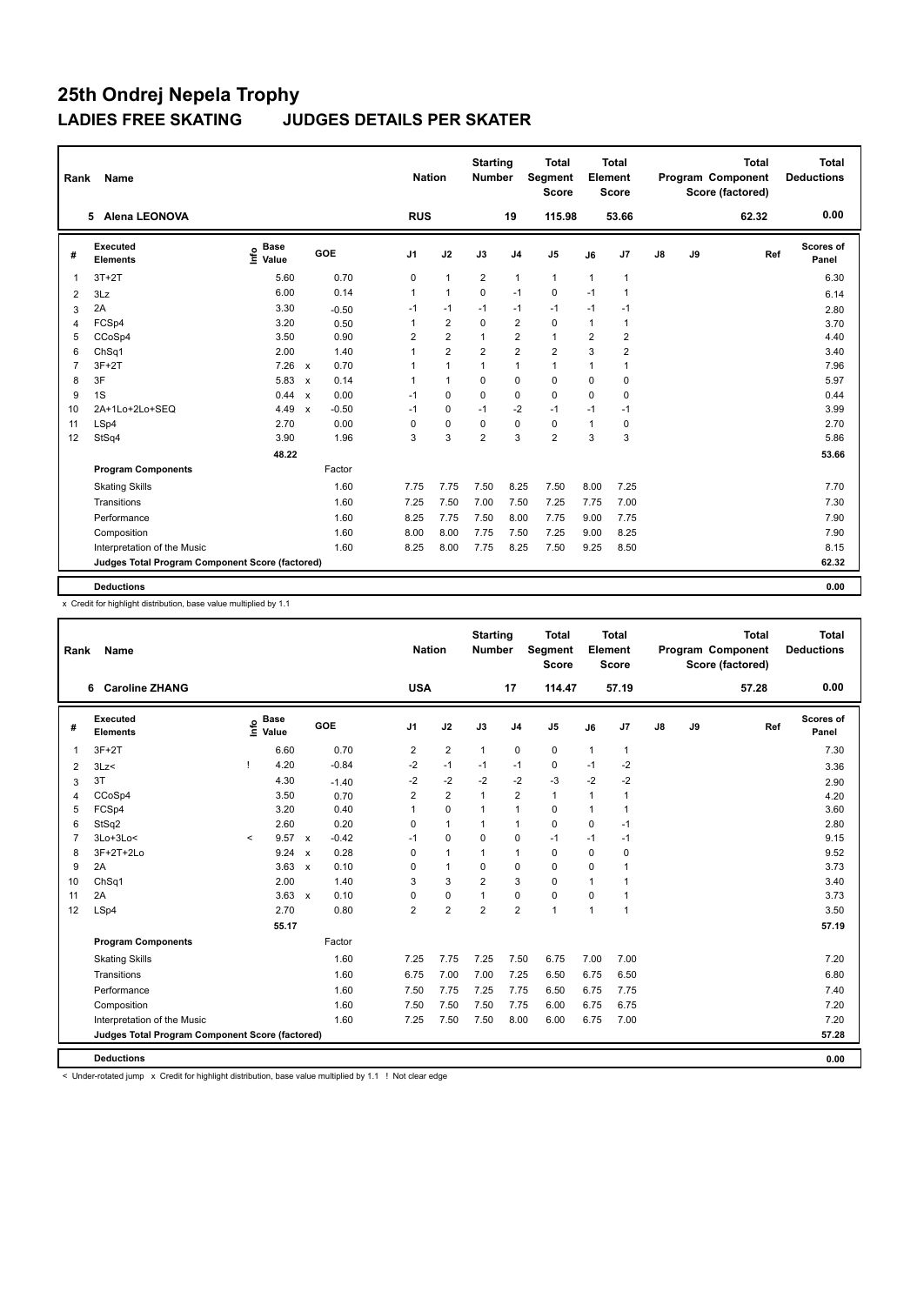| Rank           | <b>Name</b>                                     |                              |                                      | <b>Nation</b>  |                | <b>Starting</b><br>Number |                | <b>Total</b><br><b>Segment</b><br><b>Score</b> |                | <b>Total</b><br>Element<br><b>Score</b> |               |    | <b>Total</b><br>Program Component<br>Score (factored) | <b>Total</b><br><b>Deductions</b> |
|----------------|-------------------------------------------------|------------------------------|--------------------------------------|----------------|----------------|---------------------------|----------------|------------------------------------------------|----------------|-----------------------------------------|---------------|----|-------------------------------------------------------|-----------------------------------|
|                | <b>Alena LEONOVA</b><br>5.                      |                              |                                      | <b>RUS</b>     |                |                           | 19             | 115.98                                         |                | 53.66                                   |               |    | 62.32                                                 | 0.00                              |
| #              | Executed<br><b>Elements</b>                     | <b>Base</b><br>Info<br>Value | <b>GOE</b>                           | J <sub>1</sub> | J2             | J3                        | J <sub>4</sub> | J5                                             | J6             | J7                                      | $\mathsf{J}8$ | J9 | Ref                                                   | Scores of<br>Panel                |
| $\overline{1}$ | $3T+2T$                                         | 5.60                         | 0.70                                 | 0              | $\mathbf{1}$   | $\overline{2}$            | $\mathbf{1}$   | $\mathbf{1}$                                   | $\mathbf{1}$   | $\overline{1}$                          |               |    |                                                       | 6.30                              |
| 2              | 3Lz                                             | 6.00                         | 0.14                                 | $\mathbf{1}$   | $\mathbf{1}$   | $\Omega$                  | $-1$           | 0                                              | $-1$           | 1                                       |               |    |                                                       | 6.14                              |
| 3              | 2A                                              | 3.30                         | $-0.50$                              | $-1$           | $-1$           | $-1$                      | $-1$           | $-1$                                           | $-1$           | $-1$                                    |               |    |                                                       | 2.80                              |
| 4              | FCSp4                                           | 3.20                         | 0.50                                 | $\mathbf{1}$   | $\overline{2}$ | $\Omega$                  | 2              | $\mathbf 0$                                    | $\mathbf{1}$   | $\mathbf{1}$                            |               |    |                                                       | 3.70                              |
| 5              | CCoSp4                                          | 3.50                         | 0.90                                 | 2              | $\overline{2}$ | $\mathbf{1}$              | $\overline{2}$ | $\mathbf{1}$                                   | $\overline{2}$ | $\overline{2}$                          |               |    |                                                       | 4.40                              |
| 6              | ChSq1                                           | 2.00                         | 1.40                                 | 1              | $\overline{2}$ | 2                         | 2              | $\overline{2}$                                 | 3              | $\overline{2}$                          |               |    |                                                       | 3.40                              |
| $\overline{7}$ | $3F+2T$                                         | 7.26                         | 0.70<br>$\mathbf{x}$                 |                | $\mathbf{1}$   |                           | $\mathbf{1}$   | $\mathbf{1}$                                   | 1              | 1                                       |               |    |                                                       | 7.96                              |
| 8              | 3F                                              | 5.83                         | 0.14<br>$\boldsymbol{\mathsf{x}}$    | 1              | $\mathbf{1}$   | $\Omega$                  | $\mathbf 0$    | $\Omega$                                       | $\Omega$       | 0                                       |               |    |                                                       | 5.97                              |
| 9              | 1S                                              | 0.44                         | 0.00<br>$\mathsf{x}$                 | $-1$           | 0              | $\mathbf 0$               | $\mathbf 0$    | $\mathbf 0$                                    | $\mathbf 0$    | 0                                       |               |    |                                                       | 0.44                              |
| 10             | 2A+1Lo+2Lo+SEQ                                  | 4.49                         | $-0.50$<br>$\boldsymbol{\mathsf{x}}$ | $-1$           | 0              | $-1$                      | $-2$           | $-1$                                           | $-1$           | $-1$                                    |               |    |                                                       | 3.99                              |
| 11             | LSp4                                            | 2.70                         | 0.00                                 | 0              | $\mathbf 0$    | 0                         | $\mathbf 0$    | 0                                              | $\mathbf{1}$   | 0                                       |               |    |                                                       | 2.70                              |
| 12             | StSq4                                           | 3.90                         | 1.96                                 | 3              | 3              | $\overline{2}$            | 3              | $\overline{2}$                                 | 3              | 3                                       |               |    |                                                       | 5.86                              |
|                |                                                 | 48.22                        |                                      |                |                |                           |                |                                                |                |                                         |               |    |                                                       | 53.66                             |
|                | <b>Program Components</b>                       |                              | Factor                               |                |                |                           |                |                                                |                |                                         |               |    |                                                       |                                   |
|                | <b>Skating Skills</b>                           |                              | 1.60                                 | 7.75           | 7.75           | 7.50                      | 8.25           | 7.50                                           | 8.00           | 7.25                                    |               |    |                                                       | 7.70                              |
|                | Transitions                                     |                              | 1.60                                 | 7.25           | 7.50           | 7.00                      | 7.50           | 7.25                                           | 7.75           | 7.00                                    |               |    |                                                       | 7.30                              |
|                | Performance                                     |                              | 1.60                                 | 8.25           | 7.75           | 7.50                      | 8.00           | 7.75                                           | 9.00           | 7.75                                    |               |    |                                                       | 7.90                              |
|                | Composition                                     |                              | 1.60                                 | 8.00           | 8.00           | 7.75                      | 7.50           | 7.25                                           | 9.00           | 8.25                                    |               |    |                                                       | 7.90                              |
|                | Interpretation of the Music                     |                              | 1.60                                 | 8.25           | 8.00           | 7.75                      | 8.25           | 7.50                                           | 9.25           | 8.50                                    |               |    |                                                       | 8.15                              |
|                | Judges Total Program Component Score (factored) |                              |                                      |                |                |                           |                |                                                |                |                                         |               |    |                                                       | 62.32                             |
|                | <b>Deductions</b>                               |                              |                                      |                |                |                           |                |                                                |                |                                         |               |    |                                                       | 0.00                              |

x Credit for highlight distribution, base value multiplied by 1.1

| Rank           | Name                                            |         |                                             |                           |         | <b>Nation</b>  |                | <b>Starting</b><br><b>Number</b> |                | <b>Total</b><br>Segment<br><b>Score</b> |          | <b>Total</b><br>Element<br><b>Score</b> |    |    | <b>Total</b><br>Program Component<br>Score (factored) | <b>Total</b><br><b>Deductions</b> |
|----------------|-------------------------------------------------|---------|---------------------------------------------|---------------------------|---------|----------------|----------------|----------------------------------|----------------|-----------------------------------------|----------|-----------------------------------------|----|----|-------------------------------------------------------|-----------------------------------|
| 6              | <b>Caroline ZHANG</b>                           |         |                                             |                           |         | <b>USA</b>     |                |                                  | 17             | 114.47                                  |          | 57.19                                   |    |    | 57.28                                                 | 0.00                              |
| #              | Executed<br><b>Elements</b>                     |         | <b>Base</b><br>e <sup>Base</sup><br>⊆ Value |                           | GOE     | J1             | J2             | J3                               | J <sub>4</sub> | J <sub>5</sub>                          | J6       | J7                                      | J8 | J9 | Ref                                                   | <b>Scores of</b><br>Panel         |
| 1              | $3F+2T$                                         |         | 6.60                                        |                           | 0.70    | $\overline{2}$ | $\overline{2}$ | $\mathbf{1}$                     | $\pmb{0}$      | 0                                       | 1        | 1                                       |    |    |                                                       | 7.30                              |
| 2              | 3Lz                                             |         | 4.20                                        |                           | $-0.84$ | $-2$           | $-1$           | $-1$                             | $-1$           | $\mathbf 0$                             | $-1$     | $-2$                                    |    |    |                                                       | 3.36                              |
| 3              | 3T                                              |         | 4.30                                        |                           | $-1.40$ | $-2$           | $-2$           | $-2$                             | $-2$           | $-3$                                    | $-2$     | $-2$                                    |    |    |                                                       | 2.90                              |
| $\overline{4}$ | CCoSp4                                          |         | 3.50                                        |                           | 0.70    | $\overline{2}$ | $\overline{2}$ | $\mathbf{1}$                     | $\overline{2}$ | $\mathbf{1}$                            | 1        | 1                                       |    |    |                                                       | 4.20                              |
| 5              | FCSp4                                           |         | 3.20                                        |                           | 0.40    | 1              | $\pmb{0}$      | $\mathbf{1}$                     | $\mathbf{1}$   | 0                                       | 1        | 1                                       |    |    |                                                       | 3.60                              |
| 6              | StSq2                                           |         | 2.60                                        |                           | 0.20    | 0              | $\mathbf{1}$   | 1                                | $\mathbf{1}$   | $\mathbf 0$                             | 0        | $-1$                                    |    |    |                                                       | 2.80                              |
| $\overline{7}$ | $3Lo+3Lo<$                                      | $\prec$ | 9.57                                        | $\mathsf{x}$              | $-0.42$ | $-1$           | $\mathbf 0$    | 0                                | $\pmb{0}$      | $-1$                                    | $-1$     | $-1$                                    |    |    |                                                       | 9.15                              |
| 8              | 3F+2T+2Lo                                       |         | 9.24                                        | $\boldsymbol{\mathsf{x}}$ | 0.28    | 0              | $\mathbf{1}$   | $\mathbf{1}$                     | $\mathbf{1}$   | $\mathbf 0$                             | $\Omega$ | 0                                       |    |    |                                                       | 9.52                              |
| 9              | 2A                                              |         | 3.63                                        | $\mathsf{x}$              | 0.10    | 0              | $\mathbf{1}$   | $\Omega$                         | $\pmb{0}$      | $\mathbf 0$                             | 0        | 1                                       |    |    |                                                       | 3.73                              |
| 10             | ChSq1                                           |         | 2.00                                        |                           | 1.40    | 3              | 3              | $\overline{2}$                   | 3              | $\mathbf 0$                             | 1        | 1                                       |    |    |                                                       | 3.40                              |
| 11             | 2A                                              |         | 3.63                                        | $\boldsymbol{\mathsf{x}}$ | 0.10    | 0              | $\pmb{0}$      | $\mathbf{1}$                     | $\pmb{0}$      | $\mathbf 0$                             | 0        | 1                                       |    |    |                                                       | 3.73                              |
| 12             | LSp4                                            |         | 2.70                                        |                           | 0.80    | $\overline{2}$ | $\overline{2}$ | $\overline{2}$                   | $\overline{2}$ | $\mathbf{1}$                            | 1        | $\overline{1}$                          |    |    |                                                       | 3.50                              |
|                |                                                 |         | 55.17                                       |                           |         |                |                |                                  |                |                                         |          |                                         |    |    |                                                       | 57.19                             |
|                | <b>Program Components</b>                       |         |                                             |                           | Factor  |                |                |                                  |                |                                         |          |                                         |    |    |                                                       |                                   |
|                | <b>Skating Skills</b>                           |         |                                             |                           | 1.60    | 7.25           | 7.75           | 7.25                             | 7.50           | 6.75                                    | 7.00     | 7.00                                    |    |    |                                                       | 7.20                              |
|                | Transitions                                     |         |                                             |                           | 1.60    | 6.75           | 7.00           | 7.00                             | 7.25           | 6.50                                    | 6.75     | 6.50                                    |    |    |                                                       | 6.80                              |
|                | Performance                                     |         |                                             |                           | 1.60    | 7.50           | 7.75           | 7.25                             | 7.75           | 6.50                                    | 6.75     | 7.75                                    |    |    |                                                       | 7.40                              |
|                | Composition                                     |         |                                             |                           | 1.60    | 7.50           | 7.50           | 7.50                             | 7.75           | 6.00                                    | 6.75     | 6.75                                    |    |    |                                                       | 7.20                              |
|                | Interpretation of the Music                     |         |                                             |                           | 1.60    | 7.25           | 7.50           | 7.50                             | 8.00           | 6.00                                    | 6.75     | 7.00                                    |    |    |                                                       | 7.20                              |
|                | Judges Total Program Component Score (factored) |         |                                             |                           |         |                |                |                                  |                |                                         |          |                                         |    |    |                                                       | 57.28                             |
|                | <b>Deductions</b>                               |         |                                             |                           |         |                |                |                                  |                |                                         |          |                                         |    |    |                                                       | 0.00                              |

< Under-rotated jump x Credit for highlight distribution, base value multiplied by 1.1 ! Not clear edge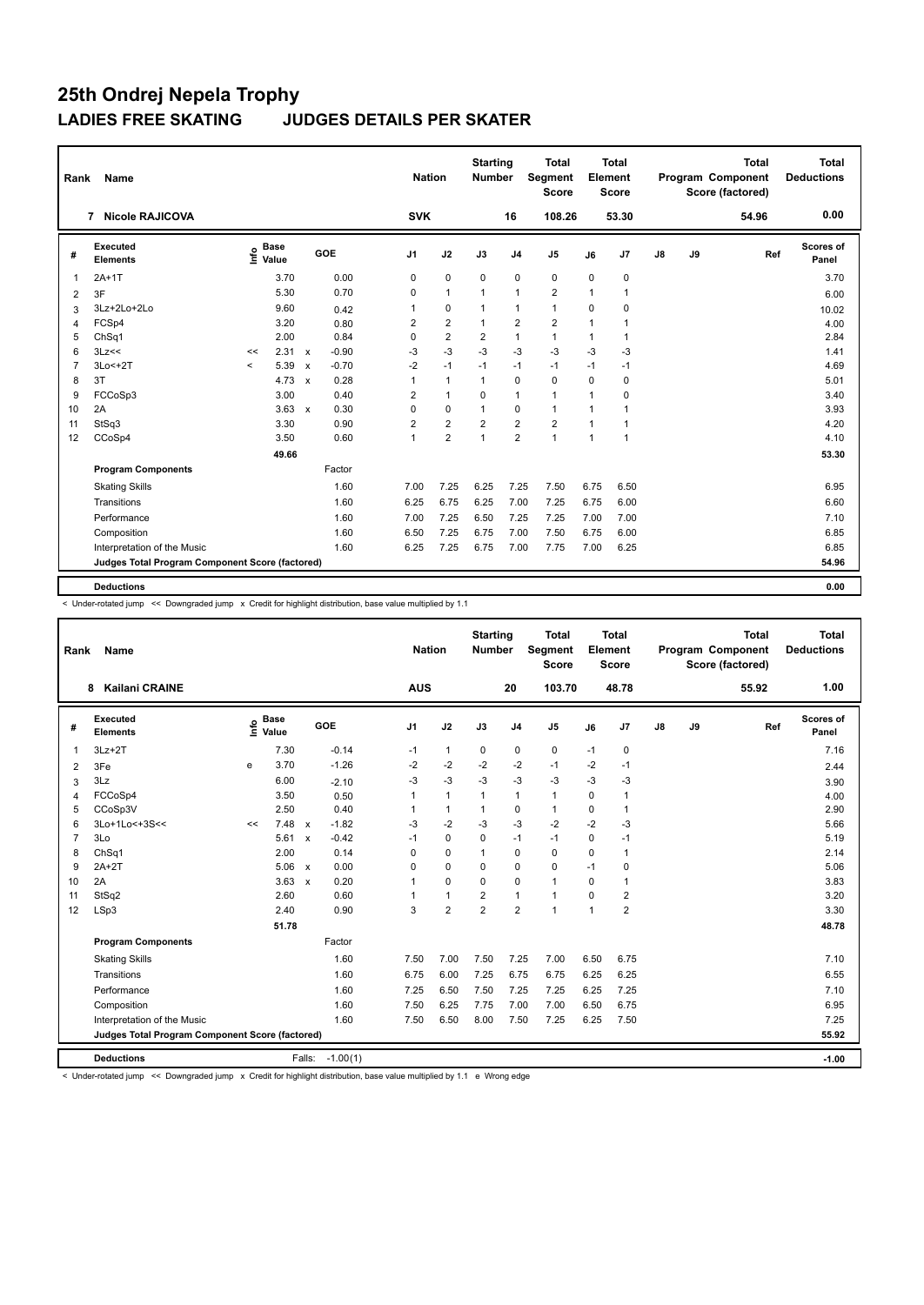| Rank           | Name                                            |         |                      |                           |            | <b>Nation</b>  |                | <b>Starting</b><br>Number |                | <b>Total</b><br><b>Segment</b><br><b>Score</b> |                | Total<br>Element<br><b>Score</b> |               |    | <b>Total</b><br>Program Component<br>Score (factored) | Total<br><b>Deductions</b> |
|----------------|-------------------------------------------------|---------|----------------------|---------------------------|------------|----------------|----------------|---------------------------|----------------|------------------------------------------------|----------------|----------------------------------|---------------|----|-------------------------------------------------------|----------------------------|
|                | <b>Nicole RAJICOVA</b><br>7                     |         |                      |                           |            | <b>SVK</b>     |                |                           | 16             | 108.26                                         |                | 53.30                            |               |    | 54.96                                                 | 0.00                       |
| #              | Executed<br><b>Elements</b>                     | lnfo    | <b>Base</b><br>Value |                           | <b>GOE</b> | J <sub>1</sub> | J2             | J3                        | J <sub>4</sub> | J <sub>5</sub>                                 | J6             | J7                               | $\mathsf{J}8$ | J9 | Ref                                                   | Scores of<br>Panel         |
| 1              | $2A+1T$                                         |         | 3.70                 |                           | 0.00       | 0              | $\pmb{0}$      | $\mathbf 0$               | $\mathbf 0$    | $\pmb{0}$                                      | 0              | 0                                |               |    |                                                       | 3.70                       |
| 2              | 3F                                              |         | 5.30                 |                           | 0.70       | $\Omega$       | $\mathbf{1}$   | $\mathbf{1}$              | $\mathbf{1}$   | $\overline{2}$                                 | 1              | 1                                |               |    |                                                       | 6.00                       |
| 3              | 3Lz+2Lo+2Lo                                     |         | 9.60                 |                           | 0.42       | 1              | $\mathbf 0$    | $\mathbf{1}$              | $\mathbf{1}$   | $\mathbf{1}$                                   | 0              | 0                                |               |    |                                                       | 10.02                      |
| $\overline{4}$ | FCSp4                                           |         | 3.20                 |                           | 0.80       | $\overline{2}$ | $\overline{2}$ | $\mathbf{1}$              | $\overline{2}$ | $\overline{2}$                                 | $\overline{1}$ | 1                                |               |    |                                                       | 4.00                       |
| 5              | ChSq1                                           |         | 2.00                 |                           | 0.84       | $\mathbf 0$    | $\overline{2}$ | 2                         | $\mathbf{1}$   | $\mathbf{1}$                                   | 1              | 1                                |               |    |                                                       | 2.84                       |
| 6              | 3Lz<<                                           | <<      | 2.31                 | $\mathsf{x}$              | $-0.90$    | $-3$           | $-3$           | $-3$                      | $-3$           | $-3$                                           | $-3$           | $-3$                             |               |    |                                                       | 1.41                       |
| $\overline{7}$ | $3Lo < +2T$                                     | $\prec$ | 5.39                 | $\boldsymbol{\mathsf{x}}$ | $-0.70$    | $-2$           | $-1$           | $-1$                      | $-1$           | $-1$                                           | $-1$           | $-1$                             |               |    |                                                       | 4.69                       |
| 8              | 3T                                              |         | 4.73                 | $\boldsymbol{\mathsf{x}}$ | 0.28       | 1              | $\mathbf{1}$   | $\mathbf{1}$              | $\mathbf 0$    | $\mathbf 0$                                    | $\mathbf 0$    | 0                                |               |    |                                                       | 5.01                       |
| 9              | FCCoSp3                                         |         | 3.00                 |                           | 0.40       | 2              | $\mathbf{1}$   | 0                         | $\mathbf{1}$   | $\mathbf{1}$                                   | 1              | 0                                |               |    |                                                       | 3.40                       |
| 10             | 2A                                              |         | 3.63                 | $\mathsf{x}$              | 0.30       | 0              | 0              | $\mathbf{1}$              | 0              | $\mathbf{1}$                                   | 1              | 1                                |               |    |                                                       | 3.93                       |
| 11             | StSq3                                           |         | 3.30                 |                           | 0.90       | $\overline{2}$ | $\overline{2}$ | $\overline{2}$            | $\overline{2}$ | $\overline{2}$                                 | $\mathbf{1}$   | $\overline{1}$                   |               |    |                                                       | 4.20                       |
| 12             | CCoSp4                                          |         | 3.50                 |                           | 0.60       | $\mathbf{1}$   | $\overline{2}$ | $\mathbf{1}$              | $\overline{2}$ | $\mathbf{1}$                                   | $\mathbf{1}$   | 1                                |               |    |                                                       | 4.10                       |
|                |                                                 |         | 49.66                |                           |            |                |                |                           |                |                                                |                |                                  |               |    |                                                       | 53.30                      |
|                | <b>Program Components</b>                       |         |                      |                           | Factor     |                |                |                           |                |                                                |                |                                  |               |    |                                                       |                            |
|                | <b>Skating Skills</b>                           |         |                      |                           | 1.60       | 7.00           | 7.25           | 6.25                      | 7.25           | 7.50                                           | 6.75           | 6.50                             |               |    |                                                       | 6.95                       |
|                | Transitions                                     |         |                      |                           | 1.60       | 6.25           | 6.75           | 6.25                      | 7.00           | 7.25                                           | 6.75           | 6.00                             |               |    |                                                       | 6.60                       |
|                | Performance                                     |         |                      |                           | 1.60       | 7.00           | 7.25           | 6.50                      | 7.25           | 7.25                                           | 7.00           | 7.00                             |               |    |                                                       | 7.10                       |
|                | Composition                                     |         |                      |                           | 1.60       | 6.50           | 7.25           | 6.75                      | 7.00           | 7.50                                           | 6.75           | 6.00                             |               |    |                                                       | 6.85                       |
|                | Interpretation of the Music                     |         |                      |                           | 1.60       | 6.25           | 7.25           | 6.75                      | 7.00           | 7.75                                           | 7.00           | 6.25                             |               |    |                                                       | 6.85                       |
|                | Judges Total Program Component Score (factored) |         |                      |                           |            |                |                |                           |                |                                                |                |                                  |               |    |                                                       | 54.96                      |
|                |                                                 |         |                      |                           |            |                |                |                           |                |                                                |                |                                  |               |    |                                                       |                            |
|                | <b>Deductions</b>                               |         |                      |                           |            |                |                |                           |                |                                                |                |                                  |               |    |                                                       | 0.00                       |

< Under-rotated jump << Downgraded jump x Credit for highlight distribution, base value multiplied by 1.1

| Rank           | Name                                            |    |                                             |                           |            | <b>Nation</b>  |                | <b>Starting</b><br><b>Number</b> |                | <b>Total</b><br>Segment<br><b>Score</b> |          | <b>Total</b><br>Element<br>Score |    |    | <b>Total</b><br>Program Component<br>Score (factored) | <b>Total</b><br><b>Deductions</b> |
|----------------|-------------------------------------------------|----|---------------------------------------------|---------------------------|------------|----------------|----------------|----------------------------------|----------------|-----------------------------------------|----------|----------------------------------|----|----|-------------------------------------------------------|-----------------------------------|
|                | <b>Kailani CRAINE</b><br>8                      |    |                                             |                           |            | <b>AUS</b>     |                |                                  | 20             | 103.70                                  |          | 48.78                            |    |    | 55.92                                                 | 1.00                              |
| #              | Executed<br><b>Elements</b>                     |    | <b>Base</b><br>e <sup>Base</sup><br>⊆ Value |                           | GOE        | J <sub>1</sub> | J2             | J3                               | J <sub>4</sub> | J <sub>5</sub>                          | J6       | J7                               | J8 | J9 | Ref                                                   | <b>Scores of</b><br>Panel         |
| 1              | $3Lz + 2T$                                      |    | 7.30                                        |                           | $-0.14$    | $-1$           | $\mathbf{1}$   | $\mathbf 0$                      | $\pmb{0}$      | $\mathbf 0$                             | $-1$     | $\mathbf 0$                      |    |    |                                                       | 7.16                              |
| 2              | 3Fe                                             | e  | 3.70                                        |                           | $-1.26$    | $-2$           | $-2$           | $-2$                             | $-2$           | $-1$                                    | $-2$     | $-1$                             |    |    |                                                       | 2.44                              |
| 3              | 3Lz                                             |    | 6.00                                        |                           | $-2.10$    | $-3$           | $-3$           | $-3$                             | $-3$           | $-3$                                    | $-3$     | $-3$                             |    |    |                                                       | 3.90                              |
| $\overline{4}$ | FCCoSp4                                         |    | 3.50                                        |                           | 0.50       |                | $\mathbf{1}$   | $\mathbf{1}$                     | $\mathbf{1}$   | $\mathbf{1}$                            | $\Omega$ | 1                                |    |    |                                                       | 4.00                              |
| 5              | CCoSp3V                                         |    | 2.50                                        |                           | 0.40       | 1              | $\mathbf{1}$   | 1                                | 0              | $\mathbf{1}$                            | 0        | $\mathbf{1}$                     |    |    |                                                       | 2.90                              |
| 6              | 3Lo+1Lo<+3S<<                                   | << | 7.48                                        | $\boldsymbol{\mathsf{x}}$ | $-1.82$    | $-3$           | $-2$           | $-3$                             | $-3$           | $-2$                                    | $-2$     | $-3$                             |    |    |                                                       | 5.66                              |
| $\overline{7}$ | 3Lo                                             |    | 5.61                                        | $\boldsymbol{\mathsf{x}}$ | $-0.42$    | $-1$           | $\mathbf 0$    | $\Omega$                         | $-1$           | $-1$                                    | 0        | $-1$                             |    |    |                                                       | 5.19                              |
| 8              | ChSq1                                           |    | 2.00                                        |                           | 0.14       | 0              | $\mathbf 0$    | $\mathbf{1}$                     | $\mathbf 0$    | $\mathbf 0$                             | 0        | 1                                |    |    |                                                       | 2.14                              |
| 9              | $2A+2T$                                         |    | 5.06                                        | $\mathbf{x}$              | 0.00       | 0              | $\mathbf 0$    | $\Omega$                         | $\pmb{0}$      | $\pmb{0}$                               | $-1$     | $\mathbf 0$                      |    |    |                                                       | 5.06                              |
| 10             | 2A                                              |    | 3.63                                        | $\boldsymbol{\mathsf{x}}$ | 0.20       | 1              | $\mathbf 0$    | $\Omega$                         | $\mathbf 0$    | $\mathbf{1}$                            | 0        | 1                                |    |    |                                                       | 3.83                              |
| 11             | StSq2                                           |    | 2.60                                        |                           | 0.60       |                | $\mathbf{1}$   | $\overline{2}$                   | $\mathbf{1}$   | $\mathbf{1}$                            | 0        | $\overline{2}$                   |    |    |                                                       | 3.20                              |
| 12             | LSp3                                            |    | 2.40                                        |                           | 0.90       | 3              | $\overline{2}$ | $\overline{2}$                   | $\overline{2}$ | $\overline{1}$                          | 1        | $\overline{2}$                   |    |    |                                                       | 3.30                              |
|                |                                                 |    | 51.78                                       |                           |            |                |                |                                  |                |                                         |          |                                  |    |    |                                                       | 48.78                             |
|                | <b>Program Components</b>                       |    |                                             |                           | Factor     |                |                |                                  |                |                                         |          |                                  |    |    |                                                       |                                   |
|                | <b>Skating Skills</b>                           |    |                                             |                           | 1.60       | 7.50           | 7.00           | 7.50                             | 7.25           | 7.00                                    | 6.50     | 6.75                             |    |    |                                                       | 7.10                              |
|                | Transitions                                     |    |                                             |                           | 1.60       | 6.75           | 6.00           | 7.25                             | 6.75           | 6.75                                    | 6.25     | 6.25                             |    |    |                                                       | 6.55                              |
|                | Performance                                     |    |                                             |                           | 1.60       | 7.25           | 6.50           | 7.50                             | 7.25           | 7.25                                    | 6.25     | 7.25                             |    |    |                                                       | 7.10                              |
|                | Composition                                     |    |                                             |                           | 1.60       | 7.50           | 6.25           | 7.75                             | 7.00           | 7.00                                    | 6.50     | 6.75                             |    |    |                                                       | 6.95                              |
|                | Interpretation of the Music                     |    |                                             |                           | 1.60       | 7.50           | 6.50           | 8.00                             | 7.50           | 7.25                                    | 6.25     | 7.50                             |    |    |                                                       | 7.25                              |
|                | Judges Total Program Component Score (factored) |    |                                             |                           |            |                |                |                                  |                |                                         |          |                                  |    |    |                                                       | 55.92                             |
|                | <b>Deductions</b>                               |    |                                             | Falls:                    | $-1.00(1)$ |                |                |                                  |                |                                         |          |                                  |    |    |                                                       | $-1.00$                           |

< Under-rotated jump << Downgraded jump x Credit for highlight distribution, base value multiplied by 1.1 e Wrong edge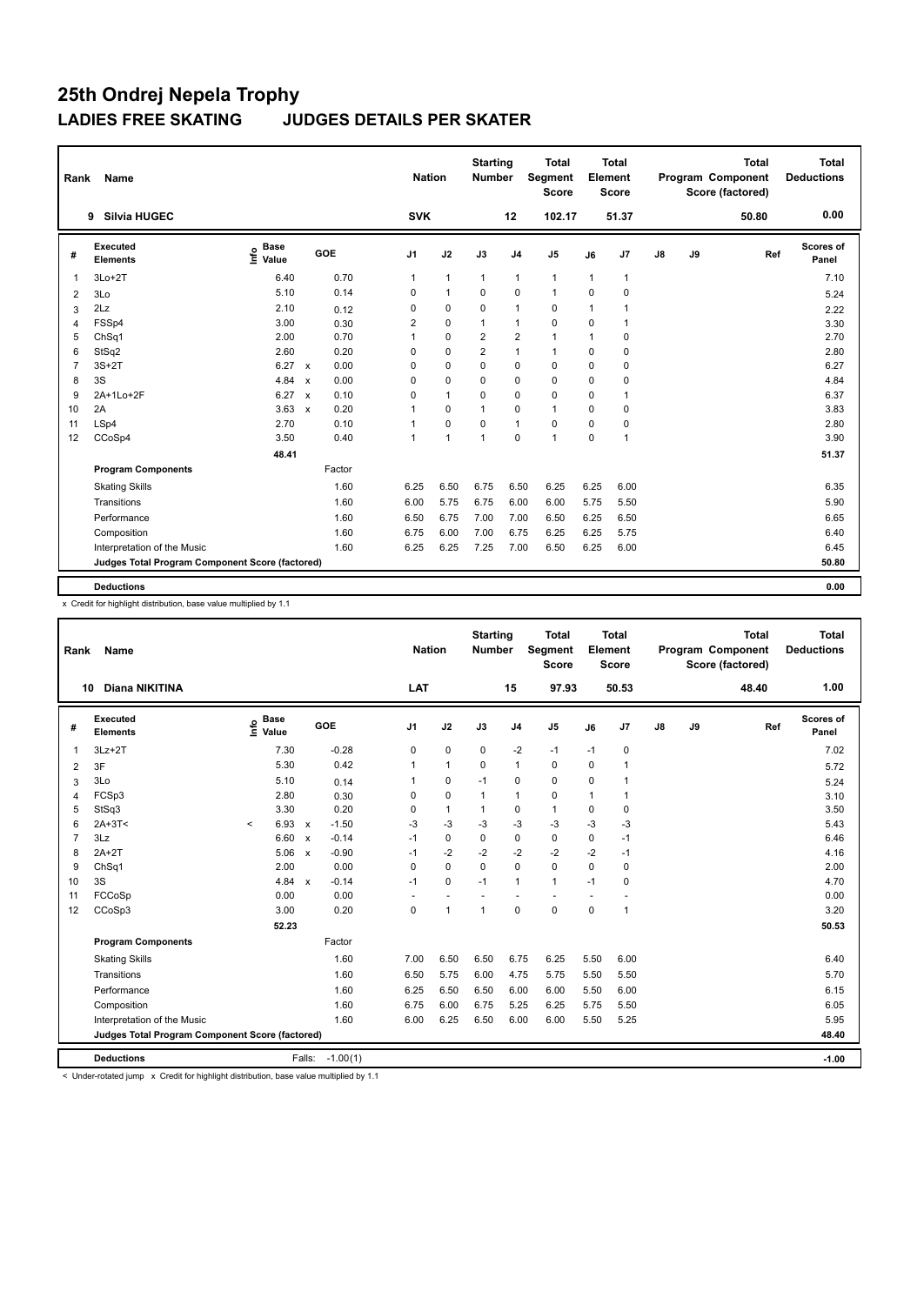| Rank           | Name                                            |                              |                                   | <b>Nation</b>  |                | <b>Starting</b><br>Number |                | <b>Total</b><br>Segment<br><b>Score</b> |              | <b>Total</b><br>Element<br>Score |               |    | <b>Total</b><br>Program Component<br>Score (factored) | <b>Total</b><br><b>Deductions</b> |
|----------------|-------------------------------------------------|------------------------------|-----------------------------------|----------------|----------------|---------------------------|----------------|-----------------------------------------|--------------|----------------------------------|---------------|----|-------------------------------------------------------|-----------------------------------|
|                | <b>Silvia HUGEC</b><br>9                        |                              |                                   | <b>SVK</b>     |                |                           | 12             | 102.17                                  |              | 51.37                            |               |    | 50.80                                                 | 0.00                              |
| #              | Executed<br><b>Elements</b>                     | <b>Base</b><br>١nf٥<br>Value | GOE                               | J <sub>1</sub> | J2             | J3                        | J <sub>4</sub> | J <sub>5</sub>                          | J6           | J7                               | $\mathsf{J}8$ | J9 | Ref                                                   | Scores of<br>Panel                |
| 1              | $3Lo+2T$                                        | 6.40                         | 0.70                              | 1              | $\overline{1}$ | $\mathbf{1}$              | $\mathbf{1}$   | $\mathbf{1}$                            | $\mathbf{1}$ | $\overline{1}$                   |               |    |                                                       | 7.10                              |
| 2              | 3Lo                                             | 5.10                         | 0.14                              | 0              | $\mathbf{1}$   | $\Omega$                  | 0              | $\mathbf{1}$                            | $\Omega$     | $\Omega$                         |               |    |                                                       | 5.24                              |
| 3              | 2Lz                                             | 2.10                         | 0.12                              | 0              | $\mathbf 0$    | $\mathbf 0$               | $\mathbf{1}$   | $\mathbf 0$                             | $\mathbf{1}$ | 1                                |               |    |                                                       | 2.22                              |
| 4              | FSSp4                                           | 3.00                         | 0.30                              | $\overline{2}$ | $\mathbf 0$    | $\mathbf{1}$              | $\mathbf{1}$   | 0                                       | $\mathbf 0$  | 1                                |               |    |                                                       | 3.30                              |
| 5              | ChSq1                                           | 2.00                         | 0.70                              | 1              | $\mathbf 0$    | $\overline{2}$            | $\overline{2}$ | $\mathbf{1}$                            | 1            | 0                                |               |    |                                                       | 2.70                              |
| 6              | StSq2                                           | 2.60                         | 0.20                              | 0              | $\mathbf 0$    | $\overline{2}$            | $\mathbf{1}$   | $\mathbf{1}$                            | $\Omega$     | $\Omega$                         |               |    |                                                       | 2.80                              |
| $\overline{7}$ | $3S+2T$                                         | 6.27                         | 0.00<br>$\mathsf{x}$              | 0              | $\mathbf 0$    | $\Omega$                  | $\mathbf 0$    | 0                                       | 0            | 0                                |               |    |                                                       | 6.27                              |
| 8              | 3S                                              | 4.84                         | 0.00<br>$\boldsymbol{\mathsf{x}}$ | 0              | $\Omega$       | $\Omega$                  | 0              | 0                                       | $\Omega$     | 0                                |               |    |                                                       | 4.84                              |
| 9              | 2A+1Lo+2F                                       | 6.27                         | 0.10<br>$\boldsymbol{\mathsf{x}}$ | 0              | $\mathbf{1}$   | 0                         | $\mathbf 0$    | 0                                       | 0            | 1                                |               |    |                                                       | 6.37                              |
| 10             | 2A                                              | 3.63                         | 0.20<br>$\boldsymbol{\mathsf{x}}$ | 1              | $\mathbf 0$    | $\overline{1}$            | $\mathbf 0$    | $\mathbf{1}$                            | $\Omega$     | 0                                |               |    |                                                       | 3.83                              |
| 11             | LSp4                                            | 2.70                         | 0.10                              | 1              | $\mathbf 0$    | $\mathbf 0$               | $\mathbf{1}$   | 0                                       | 0            | 0                                |               |    |                                                       | 2.80                              |
| 12             | CCoSp4                                          | 3.50                         | 0.40                              | 1              | $\overline{1}$ | $\overline{1}$            | $\mathbf 0$    | $\mathbf{1}$                            | $\mathbf 0$  | $\overline{1}$                   |               |    |                                                       | 3.90                              |
|                |                                                 | 48.41                        |                                   |                |                |                           |                |                                         |              |                                  |               |    |                                                       | 51.37                             |
|                | <b>Program Components</b>                       |                              | Factor                            |                |                |                           |                |                                         |              |                                  |               |    |                                                       |                                   |
|                | <b>Skating Skills</b>                           |                              | 1.60                              | 6.25           | 6.50           | 6.75                      | 6.50           | 6.25                                    | 6.25         | 6.00                             |               |    |                                                       | 6.35                              |
|                | Transitions                                     |                              | 1.60                              | 6.00           | 5.75           | 6.75                      | 6.00           | 6.00                                    | 5.75         | 5.50                             |               |    |                                                       | 5.90                              |
|                | Performance                                     |                              | 1.60                              | 6.50           | 6.75           | 7.00                      | 7.00           | 6.50                                    | 6.25         | 6.50                             |               |    |                                                       | 6.65                              |
|                | Composition                                     |                              | 1.60                              | 6.75           | 6.00           | 7.00                      | 6.75           | 6.25                                    | 6.25         | 5.75                             |               |    |                                                       | 6.40                              |
|                | Interpretation of the Music                     |                              | 1.60                              | 6.25           | 6.25           | 7.25                      | 7.00           | 6.50                                    | 6.25         | 6.00                             |               |    |                                                       | 6.45                              |
|                | Judges Total Program Component Score (factored) |                              |                                   |                |                |                           |                |                                         |              |                                  |               |    |                                                       | 50.80                             |
|                | <b>Deductions</b>                               |                              |                                   |                |                |                           |                |                                         |              |                                  |               |    |                                                       | 0.00                              |

x Credit for highlight distribution, base value multiplied by 1.1

| Rank           | <b>Name</b>                                     |                   |             |                           |            | <b>Nation</b>  |              | <b>Starting</b><br><b>Number</b> |                | <b>Total</b><br>Segment<br><b>Score</b> |             | <b>Total</b><br>Element<br><b>Score</b> |    |    | <b>Total</b><br>Program Component<br>Score (factored) | <b>Total</b><br><b>Deductions</b> |
|----------------|-------------------------------------------------|-------------------|-------------|---------------------------|------------|----------------|--------------|----------------------------------|----------------|-----------------------------------------|-------------|-----------------------------------------|----|----|-------------------------------------------------------|-----------------------------------|
|                | <b>Diana NIKITINA</b><br>10                     |                   |             |                           |            | LAT            |              |                                  | 15             | 97.93                                   |             | 50.53                                   |    |    | 48.40                                                 | 1.00                              |
| #              | Executed<br><b>Elements</b>                     | e Base<br>⊆ Value | <b>Base</b> | GOE                       |            | J <sub>1</sub> | J2           | J3                               | J <sub>4</sub> | J <sub>5</sub>                          | J6          | J7                                      | J8 | J9 | Ref                                                   | Scores of<br>Panel                |
| $\overline{1}$ | $3Lz + 2T$                                      |                   | 7.30        |                           | $-0.28$    | 0              | $\pmb{0}$    | $\pmb{0}$                        | $-2$           | $-1$                                    | $-1$        | $\pmb{0}$                               |    |    |                                                       | 7.02                              |
| 2              | 3F                                              |                   | 5.30        |                           | 0.42       | 1              | $\mathbf{1}$ | 0                                | $\mathbf{1}$   | $\pmb{0}$                               | $\mathbf 0$ | 1                                       |    |    |                                                       | 5.72                              |
| 3              | 3Lo                                             |                   | 5.10        |                           | 0.14       | 1              | $\mathbf 0$  | $-1$                             | $\mathbf 0$    | $\mathbf 0$                             | 0           | 1                                       |    |    |                                                       | 5.24                              |
| 4              | FCSp3                                           |                   | 2.80        |                           | 0.30       | 0              | $\pmb{0}$    | 1                                | $\mathbf 1$    | $\pmb{0}$                               | 1           | 1                                       |    |    |                                                       | 3.10                              |
| 5              | StSq3                                           |                   | 3.30        |                           | 0.20       | 0              | $\mathbf{1}$ |                                  | 0              | $\mathbf{1}$                            | 0           | 0                                       |    |    |                                                       | 3.50                              |
| 6              | $2A+3T<$                                        | $\hat{}$          | 6.93        | $\mathsf{x}$              | $-1.50$    | $-3$           | $-3$         | $-3$                             | $-3$           | $-3$                                    | $-3$        | $-3$                                    |    |    |                                                       | 5.43                              |
| 7              | 3Lz                                             |                   | 6.60        | $\boldsymbol{\mathsf{x}}$ | $-0.14$    | $-1$           | $\mathbf 0$  | $\Omega$                         | $\mathbf 0$    | $\mathbf 0$                             | $\mathbf 0$ | $-1$                                    |    |    |                                                       | 6.46                              |
| 8              | $2A+2T$                                         |                   | 5.06        | $\boldsymbol{\mathsf{x}}$ | $-0.90$    | $-1$           | $-2$         | $-2$                             | $-2$           | $-2$                                    | $-2$        | $-1$                                    |    |    |                                                       | 4.16                              |
| 9              | Ch <sub>Sq1</sub>                               |                   | 2.00        |                           | 0.00       | 0              | $\mathbf 0$  | $\mathbf 0$                      | $\mathbf 0$    | $\mathbf 0$                             | $\Omega$    | 0                                       |    |    |                                                       | 2.00                              |
| 10             | 3S                                              |                   | 4.84        | $\mathsf{x}$              | $-0.14$    | $-1$           | $\mathbf 0$  | $-1$                             | $\mathbf{1}$   | $\mathbf{1}$                            | $-1$        | 0                                       |    |    |                                                       | 4.70                              |
| 11             | FCCoSp                                          |                   | 0.00        |                           | 0.00       |                | ÷,           |                                  |                |                                         |             |                                         |    |    |                                                       | 0.00                              |
| 12             | CCoSp3                                          |                   | 3.00        |                           | 0.20       | $\mathbf 0$    | $\mathbf{1}$ | $\mathbf{1}$                     | $\mathbf 0$    | $\mathbf 0$                             | $\mathbf 0$ | $\overline{1}$                          |    |    |                                                       | 3.20                              |
|                |                                                 |                   | 52.23       |                           |            |                |              |                                  |                |                                         |             |                                         |    |    |                                                       | 50.53                             |
|                | <b>Program Components</b>                       |                   |             |                           | Factor     |                |              |                                  |                |                                         |             |                                         |    |    |                                                       |                                   |
|                | <b>Skating Skills</b>                           |                   |             |                           | 1.60       | 7.00           | 6.50         | 6.50                             | 6.75           | 6.25                                    | 5.50        | 6.00                                    |    |    |                                                       | 6.40                              |
|                | Transitions                                     |                   |             |                           | 1.60       | 6.50           | 5.75         | 6.00                             | 4.75           | 5.75                                    | 5.50        | 5.50                                    |    |    |                                                       | 5.70                              |
|                | Performance                                     |                   |             |                           | 1.60       | 6.25           | 6.50         | 6.50                             | 6.00           | 6.00                                    | 5.50        | 6.00                                    |    |    |                                                       | 6.15                              |
|                | Composition                                     |                   |             |                           | 1.60       | 6.75           | 6.00         | 6.75                             | 5.25           | 6.25                                    | 5.75        | 5.50                                    |    |    |                                                       | 6.05                              |
|                | Interpretation of the Music                     |                   |             |                           | 1.60       | 6.00           | 6.25         | 6.50                             | 6.00           | 6.00                                    | 5.50        | 5.25                                    |    |    |                                                       | 5.95                              |
|                | Judges Total Program Component Score (factored) |                   |             |                           |            |                |              |                                  |                |                                         |             |                                         |    |    |                                                       | 48.40                             |
|                | <b>Deductions</b>                               |                   |             | Falls:                    | $-1.00(1)$ |                |              |                                  |                |                                         |             |                                         |    |    |                                                       | $-1.00$                           |

< Under-rotated jump x Credit for highlight distribution, base value multiplied by 1.1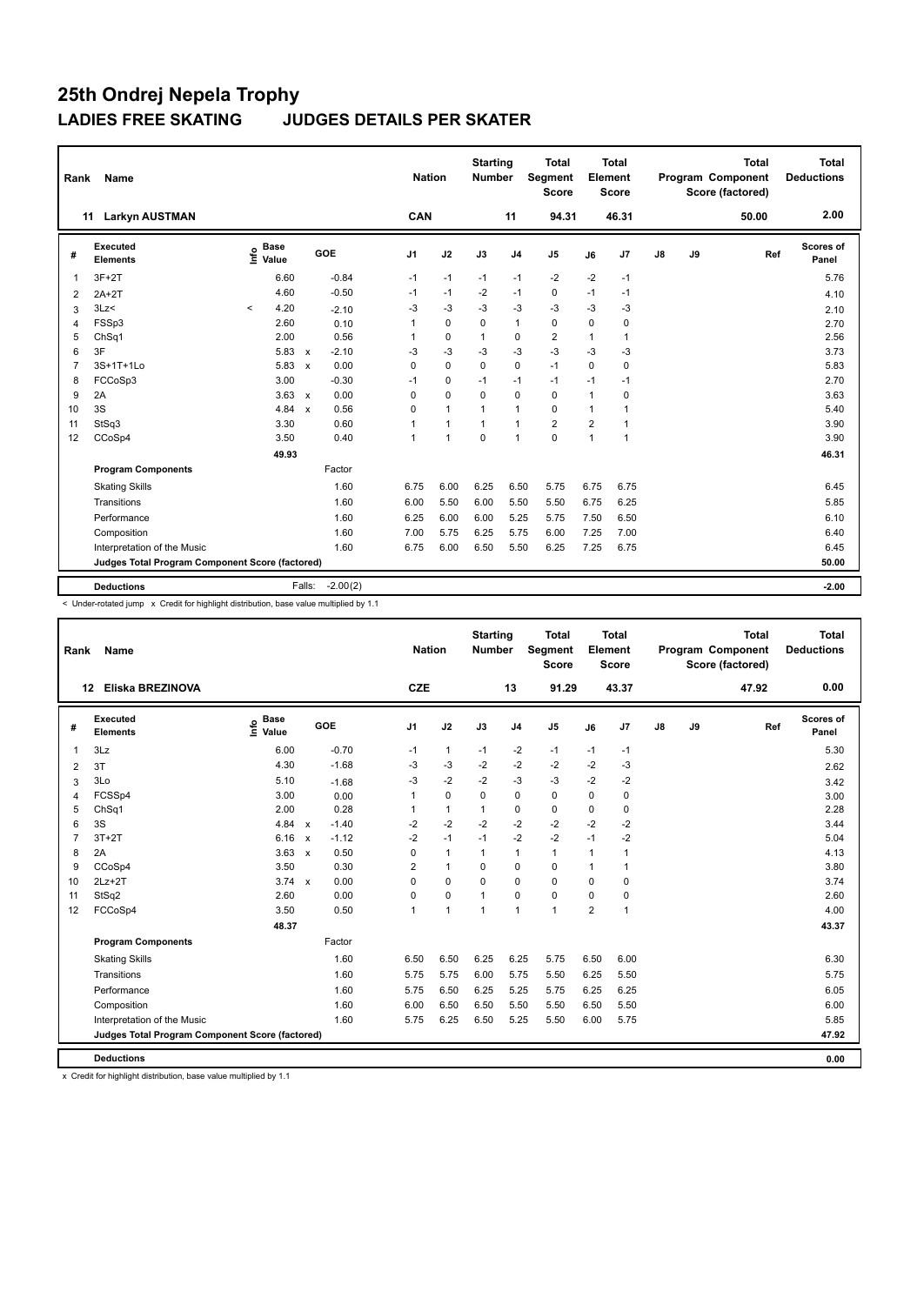| Rank           | <b>Name</b>                                     |         |                                  |                           |            |                | <b>Nation</b> |                | <b>Starting</b><br><b>Number</b> |                | <b>Total</b><br>Segment<br><b>Score</b> |          | <b>Total</b><br>Element<br><b>Score</b> |               |    | <b>Total</b><br><b>Program Component</b><br>Score (factored) |     | Total<br><b>Deductions</b> |
|----------------|-------------------------------------------------|---------|----------------------------------|---------------------------|------------|----------------|---------------|----------------|----------------------------------|----------------|-----------------------------------------|----------|-----------------------------------------|---------------|----|--------------------------------------------------------------|-----|----------------------------|
|                | <b>Larkyn AUSTMAN</b><br>11                     |         |                                  |                           |            |                | CAN           |                |                                  | 11             | 94.31                                   |          | 46.31                                   |               |    | 50.00                                                        |     | 2.00                       |
| #              | Executed<br><b>Elements</b>                     |         | <b>Base</b><br>e Base<br>⊆ Value |                           | GOE        | J <sub>1</sub> |               | J2             | J3                               | J <sub>4</sub> | J <sub>5</sub>                          | J6       | J7                                      | $\mathsf{J}8$ | J9 |                                                              | Ref | Scores of<br>Panel         |
| $\overline{1}$ | $3F+2T$                                         |         | 6.60                             |                           | $-0.84$    | $-1$           |               | $-1$           | $-1$                             | $-1$           | $-2$                                    | $-2$     | $-1$                                    |               |    |                                                              |     | 5.76                       |
| $\overline{2}$ | $2A+2T$                                         |         | 4.60                             |                           | $-0.50$    | $-1$           |               | -1             | $-2$                             | $-1$           | $\mathbf 0$                             | $-1$     | $-1$                                    |               |    |                                                              |     | 4.10                       |
| 3              | 3Lz<                                            | $\prec$ | 4.20                             |                           | $-2.10$    | $-3$           |               | $-3$           | $-3$                             | -3             | $-3$                                    | $-3$     | $-3$                                    |               |    |                                                              |     | 2.10                       |
| 4              | FSSp3                                           |         | 2.60                             |                           | 0.10       |                |               | $\mathbf 0$    | $\Omega$                         | $\mathbf{1}$   | $\mathbf 0$                             | $\Omega$ | 0                                       |               |    |                                                              |     | 2.70                       |
| 5              | Ch <sub>Sq1</sub>                               |         | 2.00                             |                           | 0.56       |                |               | $\mathbf 0$    | $\mathbf{1}$                     | 0              | $\overline{2}$                          | 1        | $\mathbf{1}$                            |               |    |                                                              |     | 2.56                       |
| 6              | 3F                                              |         | 5.83                             | $\mathsf{x}$              | $-2.10$    | -3             |               | $-3$           | $-3$                             | $-3$           | $-3$                                    | $-3$     | $-3$                                    |               |    |                                                              |     | 3.73                       |
| $\overline{7}$ | 3S+1T+1Lo                                       |         | 5.83                             | $\boldsymbol{\mathsf{x}}$ | 0.00       | 0              |               | $\mathbf 0$    | $\mathbf 0$                      | $\mathbf 0$    | $-1$                                    | 0        | 0                                       |               |    |                                                              |     | 5.83                       |
| 8              | FCCoSp3                                         |         | 3.00                             |                           | $-0.30$    | $-1$           |               | $\pmb{0}$      | $-1$                             | $-1$           | $-1$                                    | $-1$     | $-1$                                    |               |    |                                                              |     | 2.70                       |
| 9              | 2A                                              |         | $3.63 \times$                    |                           | 0.00       | $\Omega$       |               | $\Omega$       | $\Omega$                         | $\mathbf 0$    | $\Omega$                                | 1        | $\Omega$                                |               |    |                                                              |     | 3.63                       |
| 10             | 3S                                              |         | 4.84                             | $\mathsf{x}$              | 0.56       | 0              |               | $\overline{1}$ | $\mathbf{1}$                     | $\mathbf{1}$   | $\mathbf 0$                             | 1        | 1                                       |               |    |                                                              |     | 5.40                       |
| 11             | StSq3                                           |         | 3.30                             |                           | 0.60       |                |               | $\overline{1}$ | $\mathbf{1}$                     | $\mathbf{1}$   | $\overline{2}$                          | 2        | $\mathbf{1}$                            |               |    |                                                              |     | 3.90                       |
| 12             | CCoSp4                                          |         | 3.50                             |                           | 0.40       | $\overline{1}$ |               | $\overline{1}$ | $\Omega$                         | $\mathbf{1}$   | $\Omega$                                | 1        | $\mathbf{1}$                            |               |    |                                                              |     | 3.90                       |
|                |                                                 |         | 49.93                            |                           |            |                |               |                |                                  |                |                                         |          |                                         |               |    |                                                              |     | 46.31                      |
|                | <b>Program Components</b>                       |         |                                  |                           | Factor     |                |               |                |                                  |                |                                         |          |                                         |               |    |                                                              |     |                            |
|                | <b>Skating Skills</b>                           |         |                                  |                           | 1.60       | 6.75           |               | 6.00           | 6.25                             | 6.50           | 5.75                                    | 6.75     | 6.75                                    |               |    |                                                              |     | 6.45                       |
|                | Transitions                                     |         |                                  |                           | 1.60       | 6.00           |               | 5.50           | 6.00                             | 5.50           | 5.50                                    | 6.75     | 6.25                                    |               |    |                                                              |     | 5.85                       |
|                | Performance                                     |         |                                  |                           | 1.60       | 6.25           |               | 6.00           | 6.00                             | 5.25           | 5.75                                    | 7.50     | 6.50                                    |               |    |                                                              |     | 6.10                       |
|                | Composition                                     |         |                                  |                           | 1.60       | 7.00           |               | 5.75           | 6.25                             | 5.75           | 6.00                                    | 7.25     | 7.00                                    |               |    |                                                              |     | 6.40                       |
|                | Interpretation of the Music                     |         |                                  |                           | 1.60       | 6.75           |               | 6.00           | 6.50                             | 5.50           | 6.25                                    | 7.25     | 6.75                                    |               |    |                                                              |     | 6.45                       |
|                | Judges Total Program Component Score (factored) |         |                                  |                           |            |                |               |                |                                  |                |                                         |          |                                         |               |    |                                                              |     | 50.00                      |
|                | <b>Deductions</b>                               |         |                                  | Falls:                    | $-2.00(2)$ |                |               |                |                                  |                |                                         |          |                                         |               |    |                                                              |     | $-2.00$                    |

< Under-rotated jump x Credit for highlight distribution, base value multiplied by 1.1

| Rank           | Name                                            |                                  |                         | <b>Nation</b>  |                | <b>Starting</b><br><b>Number</b> |                | <b>Total</b><br>Segment<br><b>Score</b> |                | <b>Total</b><br>Element<br><b>Score</b> |    |    | <b>Total</b><br>Program Component<br>Score (factored) | <b>Total</b><br><b>Deductions</b> |
|----------------|-------------------------------------------------|----------------------------------|-------------------------|----------------|----------------|----------------------------------|----------------|-----------------------------------------|----------------|-----------------------------------------|----|----|-------------------------------------------------------|-----------------------------------|
| 12             | Eliska BREZINOVA                                |                                  |                         | <b>CZE</b>     |                |                                  | 13             | 91.29                                   |                | 43.37                                   |    |    | 47.92                                                 | 0.00                              |
| #              | Executed<br><b>Elements</b>                     | <b>Base</b><br>e Base<br>⊆ Value | GOE                     | J <sub>1</sub> | J2             | J3                               | J <sub>4</sub> | J <sub>5</sub>                          | J6             | J7                                      | J8 | J9 | Ref                                                   | <b>Scores of</b><br>Panel         |
| $\mathbf{1}$   | 3Lz                                             | 6.00                             | $-0.70$                 | $-1$           | $\mathbf{1}$   | $-1$                             | $-2$           | $-1$                                    | $-1$           | $-1$                                    |    |    |                                                       | 5.30                              |
| 2              | 3T                                              | 4.30                             | $-1.68$                 | $-3$           | $-3$           | $-2$                             | $-2$           | $-2$                                    | $-2$           | $-3$                                    |    |    |                                                       | 2.62                              |
| 3              | 3Lo                                             | 5.10                             | $-1.68$                 | $-3$           | $-2$           | $-2$                             | $-3$           | $-3$                                    | $-2$           | $-2$                                    |    |    |                                                       | 3.42                              |
| $\overline{4}$ | FCSSp4                                          | 3.00                             | 0.00                    | 1              | $\mathbf 0$    | 0                                | 0              | $\mathbf 0$                             | 0              | 0                                       |    |    |                                                       | 3.00                              |
| 5              | ChSq1                                           | 2.00                             | 0.28                    | 1              | $\mathbf{1}$   | $\mathbf{1}$                     | 0              | $\mathbf 0$                             | 0              | 0                                       |    |    |                                                       | 2.28                              |
| 6              | 3S                                              | 4.84                             | $-1.40$<br>$\mathbf{x}$ | $-2$           | $-2$           | $-2$                             | $-2$           | $-2$                                    | $-2$           | $-2$                                    |    |    |                                                       | 3.44                              |
| $\overline{7}$ | $3T+2T$                                         | 6.16                             | $-1.12$<br>$\mathbf{x}$ | $-2$           | $-1$           | $-1$                             | $-2$           | $-2$                                    | $-1$           | $-2$                                    |    |    |                                                       | 5.04                              |
| 8              | 2A                                              | 3.63                             | 0.50<br>$\mathsf{x}$    | 0              | $\mathbf{1}$   | $\mathbf{1}$                     | $\mathbf{1}$   | $\mathbf{1}$                            | $\mathbf{1}$   | -1                                      |    |    |                                                       | 4.13                              |
| 9              | CCoSp4                                          | 3.50                             | 0.30                    | 2              | $\mathbf{1}$   | 0                                | 0              | $\mathbf 0$                             | $\mathbf{1}$   | $\overline{1}$                          |    |    |                                                       | 3.80                              |
| 10             | $2Lz+2T$                                        | $3.74 \times$                    | 0.00                    | $\Omega$       | $\Omega$       | $\Omega$                         | $\Omega$       | $\Omega$                                | $\Omega$       | $\Omega$                                |    |    |                                                       | 3.74                              |
| 11             | StSq2                                           | 2.60                             | 0.00                    | 0              | $\mathbf 0$    | 1                                | $\mathbf 0$    | $\pmb{0}$                               | $\mathbf 0$    | 0                                       |    |    |                                                       | 2.60                              |
| 12             | FCCoSp4                                         | 3.50                             | 0.50                    | 1              | $\overline{1}$ | 1                                | $\overline{1}$ | 1                                       | $\overline{2}$ | -1                                      |    |    |                                                       | 4.00                              |
|                |                                                 | 48.37                            |                         |                |                |                                  |                |                                         |                |                                         |    |    |                                                       | 43.37                             |
|                | <b>Program Components</b>                       |                                  | Factor                  |                |                |                                  |                |                                         |                |                                         |    |    |                                                       |                                   |
|                | <b>Skating Skills</b>                           |                                  | 1.60                    | 6.50           | 6.50           | 6.25                             | 6.25           | 5.75                                    | 6.50           | 6.00                                    |    |    |                                                       | 6.30                              |
|                | Transitions                                     |                                  | 1.60                    | 5.75           | 5.75           | 6.00                             | 5.75           | 5.50                                    | 6.25           | 5.50                                    |    |    |                                                       | 5.75                              |
|                | Performance                                     |                                  | 1.60                    | 5.75           | 6.50           | 6.25                             | 5.25           | 5.75                                    | 6.25           | 6.25                                    |    |    |                                                       | 6.05                              |
|                | Composition                                     |                                  | 1.60                    | 6.00           | 6.50           | 6.50                             | 5.50           | 5.50                                    | 6.50           | 5.50                                    |    |    |                                                       | 6.00                              |
|                | Interpretation of the Music                     |                                  | 1.60                    | 5.75           | 6.25           | 6.50                             | 5.25           | 5.50                                    | 6.00           | 5.75                                    |    |    |                                                       | 5.85                              |
|                | Judges Total Program Component Score (factored) |                                  |                         |                |                |                                  |                |                                         |                |                                         |    |    |                                                       | 47.92                             |
|                | <b>Deductions</b>                               |                                  |                         |                |                |                                  |                |                                         |                |                                         |    |    |                                                       | 0.00                              |

x Credit for highlight distribution, base value multiplied by 1.1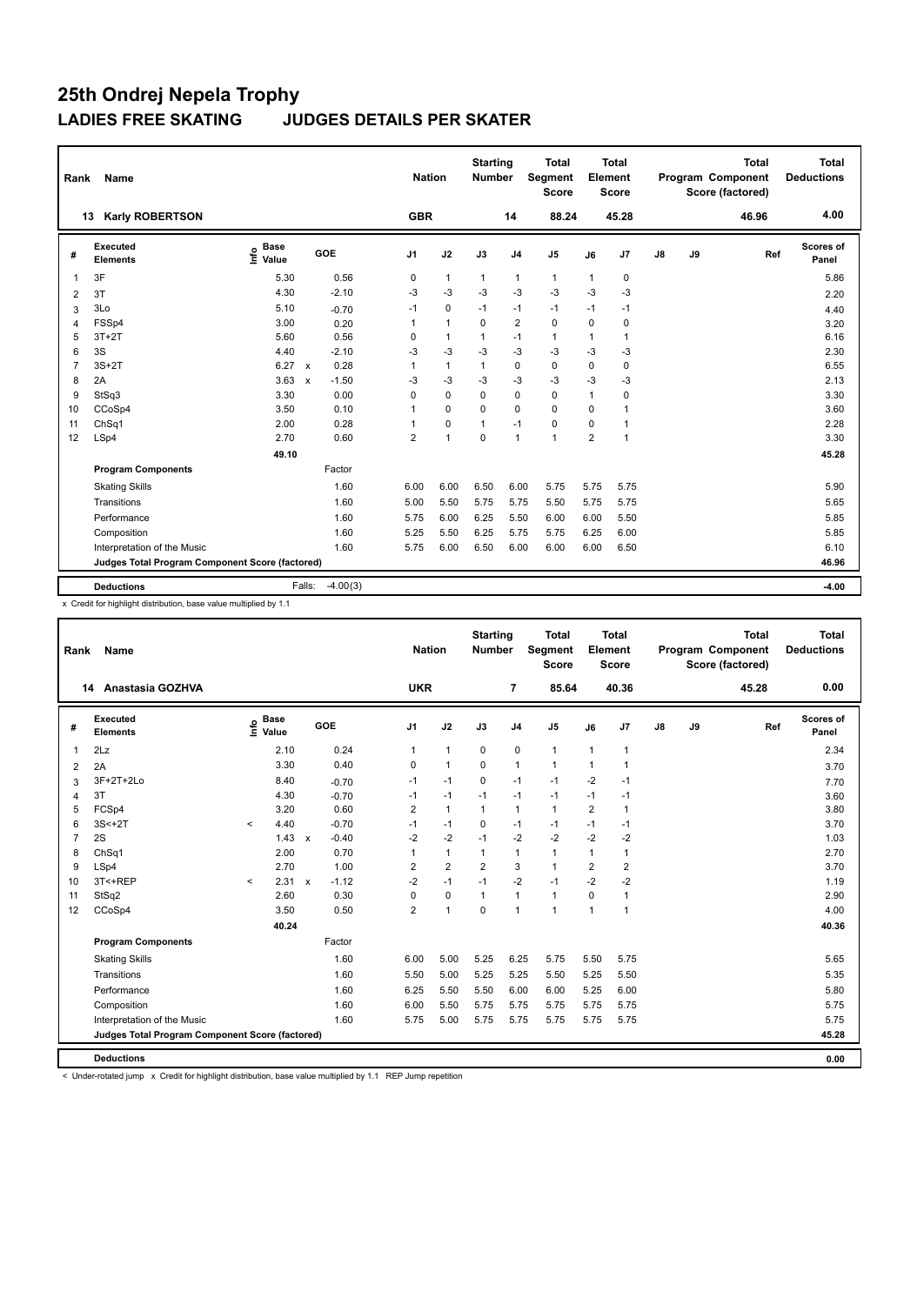| Rank           | Name                                            |                              |                        | <b>Nation</b>  |                | <b>Starting</b><br>Number |                | <b>Total</b><br><b>Segment</b><br><b>Score</b> |                | <b>Total</b><br>Element<br>Score |               |    | <b>Total</b><br>Program Component<br>Score (factored) | <b>Total</b><br><b>Deductions</b> |
|----------------|-------------------------------------------------|------------------------------|------------------------|----------------|----------------|---------------------------|----------------|------------------------------------------------|----------------|----------------------------------|---------------|----|-------------------------------------------------------|-----------------------------------|
|                | <b>Karly ROBERTSON</b><br>13                    |                              |                        | <b>GBR</b>     |                |                           | 14             | 88.24                                          |                | 45.28                            |               |    | 46.96                                                 | 4.00                              |
| #              | Executed<br><b>Elements</b>                     | <b>Base</b><br>lnfo<br>Value | GOE                    | J <sub>1</sub> | J2             | J3                        | J <sub>4</sub> | J5                                             | J6             | J7                               | $\mathsf{J}8$ | J9 | Ref                                                   | <b>Scores of</b><br>Panel         |
| 1              | 3F                                              | 5.30                         | 0.56                   | 0              | $\mathbf{1}$   | $\mathbf{1}$              | $\mathbf{1}$   | $\mathbf{1}$                                   | $\mathbf{1}$   | 0                                |               |    |                                                       | 5.86                              |
| $\overline{2}$ | 3T                                              | 4.30                         | $-2.10$                | $-3$           | $-3$           | $-3$                      | $-3$           | $-3$                                           | $-3$           | $-3$                             |               |    |                                                       | 2.20                              |
| 3              | 3Lo                                             | 5.10                         | $-0.70$                | -1             | $\mathbf 0$    | $-1$                      | $-1$           | $-1$                                           | $-1$           | $-1$                             |               |    |                                                       | 4.40                              |
| 4              | FSSp4                                           | 3.00                         | 0.20                   | 1              | $\overline{1}$ | $\Omega$                  | $\overline{2}$ | $\mathbf 0$                                    | $\Omega$       | 0                                |               |    |                                                       | 3.20                              |
| 5              | $3T+2T$                                         | 5.60                         | 0.56                   | 0              | $\overline{1}$ | 1                         | $-1$           | $\mathbf{1}$                                   | 1              | 1                                |               |    |                                                       | 6.16                              |
| 6              | 3S                                              | 4.40                         | $-2.10$                | $-3$           | $-3$           | $-3$                      | $-3$           | $-3$                                           | -3             | $-3$                             |               |    |                                                       | 2.30                              |
| $\overline{7}$ | $3S+2T$                                         | 6.27                         | 0.28<br>$\mathbf{x}$   | 1              | $\mathbf{1}$   | $\mathbf{1}$              | $\mathbf 0$    | $\mathbf 0$                                    | $\mathbf 0$    | $\mathbf 0$                      |               |    |                                                       | 6.55                              |
| 8              | 2A                                              | 3.63                         | $-1.50$<br>$\mathbf x$ | $-3$           | $-3$           | $-3$                      | $-3$           | $-3$                                           | $-3$           | $-3$                             |               |    |                                                       | 2.13                              |
| 9              | StSq3                                           | 3.30                         | 0.00                   | 0              | $\mathbf 0$    | 0                         | 0              | 0                                              | $\mathbf{1}$   | 0                                |               |    |                                                       | 3.30                              |
| 10             | CCoSp4                                          | 3.50                         | 0.10                   | 1              | $\mathbf 0$    | $\mathbf 0$               | $\mathbf 0$    | 0                                              | $\mathbf 0$    | 1                                |               |    |                                                       | 3.60                              |
| 11             | ChSq1                                           | 2.00                         | 0.28                   |                | $\mathbf 0$    | $\overline{1}$            | $-1$           | $\mathbf 0$                                    | $\mathbf 0$    | 1                                |               |    |                                                       | 2.28                              |
| 12             | LSp4                                            | 2.70                         | 0.60                   | $\overline{2}$ | $\overline{1}$ | $\Omega$                  | $\overline{1}$ | $\overline{1}$                                 | $\overline{2}$ | 1                                |               |    |                                                       | 3.30                              |
|                |                                                 | 49.10                        |                        |                |                |                           |                |                                                |                |                                  |               |    |                                                       | 45.28                             |
|                | <b>Program Components</b>                       |                              | Factor                 |                |                |                           |                |                                                |                |                                  |               |    |                                                       |                                   |
|                | <b>Skating Skills</b>                           |                              | 1.60                   | 6.00           | 6.00           | 6.50                      | 6.00           | 5.75                                           | 5.75           | 5.75                             |               |    |                                                       | 5.90                              |
|                | Transitions                                     |                              | 1.60                   | 5.00           | 5.50           | 5.75                      | 5.75           | 5.50                                           | 5.75           | 5.75                             |               |    |                                                       | 5.65                              |
|                | Performance                                     |                              | 1.60                   | 5.75           | 6.00           | 6.25                      | 5.50           | 6.00                                           | 6.00           | 5.50                             |               |    |                                                       | 5.85                              |
|                | Composition                                     |                              | 1.60                   | 5.25           | 5.50           | 6.25                      | 5.75           | 5.75                                           | 6.25           | 6.00                             |               |    |                                                       | 5.85                              |
|                | Interpretation of the Music                     |                              | 1.60                   | 5.75           | 6.00           | 6.50                      | 6.00           | 6.00                                           | 6.00           | 6.50                             |               |    |                                                       | 6.10                              |
|                | Judges Total Program Component Score (factored) |                              |                        |                |                |                           |                |                                                |                |                                  |               |    |                                                       | 46.96                             |
|                | <b>Deductions</b>                               |                              | Falls:                 |                |                |                           |                |                                                |                |                                  |               |    |                                                       | $-4.00$                           |
|                |                                                 |                              | $-4.00(3)$             |                |                |                           |                |                                                |                |                                  |               |    |                                                       |                                   |

x Credit for highlight distribution, base value multiplied by 1.1

| Rank           | <b>Name</b>                                     |         |                                    |              |         |                | <b>Nation</b> |                | <b>Starting</b><br>Number |                | <b>Total</b><br>Segment<br><b>Score</b> |                | <b>Total</b><br>Element<br><b>Score</b> |    |    | <b>Total</b><br>Program Component<br>Score (factored) | Total<br><b>Deductions</b> |
|----------------|-------------------------------------------------|---------|------------------------------------|--------------|---------|----------------|---------------|----------------|---------------------------|----------------|-----------------------------------------|----------------|-----------------------------------------|----|----|-------------------------------------------------------|----------------------------|
|                | Anastasia GOZHVA<br>14                          |         |                                    |              |         |                | <b>UKR</b>    |                |                           | 7              | 85.64                                   |                | 40.36                                   |    |    | 45.28                                                 | 0.00                       |
| #              | Executed<br><b>Elements</b>                     |         | <b>Base</b><br>$\frac{6}{5}$ Value |              | GOE     | J <sub>1</sub> |               | J2             | J3                        | J <sub>4</sub> | J <sub>5</sub>                          | J6             | J7                                      | J8 | J9 | Ref                                                   | Scores of<br>Panel         |
| 1              | 2Lz                                             |         | 2.10                               |              | 0.24    | 1              |               | $\mathbf{1}$   | $\pmb{0}$                 | $\mathbf 0$    | $\mathbf{1}$                            | $\mathbf{1}$   | 1                                       |    |    |                                                       | 2.34                       |
| 2              | 2A                                              |         | 3.30                               |              | 0.40    | $\mathbf 0$    |               | $\mathbf{1}$   | $\Omega$                  | $\mathbf{1}$   | $\mathbf{1}$                            | -1             | 1                                       |    |    |                                                       | 3.70                       |
| 3              | 3F+2T+2Lo                                       |         | 8.40                               |              | $-0.70$ | $-1$           |               | $-1$           | $\mathbf 0$               | $-1$           | $-1$                                    | $-2$           | $-1$                                    |    |    |                                                       | 7.70                       |
| 4              | 3T                                              |         | 4.30                               |              | $-0.70$ | $-1$           |               | $-1$           | $-1$                      | $-1$           | $-1$                                    | $-1$           | $-1$                                    |    |    |                                                       | 3.60                       |
| 5              | FCSp4                                           |         | 3.20                               |              | 0.60    | $\overline{2}$ |               | $\mathbf{1}$   | $\mathbf{1}$              | $\mathbf{1}$   | $\mathbf{1}$                            | $\overline{2}$ | 1                                       |    |    |                                                       | 3.80                       |
| 6              | $3S<+2T$                                        | $\prec$ | 4.40                               |              | $-0.70$ | $-1$           |               | $-1$           | 0                         | $-1$           | $-1$                                    | $-1$           | $-1$                                    |    |    |                                                       | 3.70                       |
| $\overline{7}$ | 2S                                              |         | 1.43                               | $\mathsf{x}$ | $-0.40$ | $-2$           |               | $-2$           | $-1$                      | $-2$           | $-2$                                    | $-2$           | $-2$                                    |    |    |                                                       | 1.03                       |
| 8              | ChSq1                                           |         | 2.00                               |              | 0.70    | 1              |               | $\mathbf{1}$   | 1                         | $\mathbf{1}$   | $\mathbf{1}$                            | 1              | 1                                       |    |    |                                                       | 2.70                       |
| 9              | LSp4                                            |         | 2.70                               |              | 1.00    | $\overline{2}$ |               | $\overline{2}$ | $\overline{2}$            | 3              | $\mathbf{1}$                            | $\overline{2}$ | 2                                       |    |    |                                                       | 3.70                       |
| 10             | 3T<+REP                                         | $\prec$ | 2.31                               | $\mathsf{x}$ | $-1.12$ | $-2$           |               | $-1$           | $-1$                      | $-2$           | $-1$                                    | $-2$           | $-2$                                    |    |    |                                                       | 1.19                       |
| 11             | StSq2                                           |         | 2.60                               |              | 0.30    | $\mathbf 0$    |               | $\mathbf 0$    | $\mathbf{1}$              | $\mathbf{1}$   | $\mathbf{1}$                            | $\mathbf 0$    | $\overline{1}$                          |    |    |                                                       | 2.90                       |
| 12             | CCoSp4                                          |         | 3.50                               |              | 0.50    | $\overline{2}$ |               | $\mathbf{1}$   | $\Omega$                  | $\overline{1}$ | $\mathbf{1}$                            | $\mathbf{1}$   | 1                                       |    |    |                                                       | 4.00                       |
|                |                                                 |         | 40.24                              |              |         |                |               |                |                           |                |                                         |                |                                         |    |    |                                                       | 40.36                      |
|                | <b>Program Components</b>                       |         |                                    |              | Factor  |                |               |                |                           |                |                                         |                |                                         |    |    |                                                       |                            |
|                | <b>Skating Skills</b>                           |         |                                    |              | 1.60    | 6.00           |               | 5.00           | 5.25                      | 6.25           | 5.75                                    | 5.50           | 5.75                                    |    |    |                                                       | 5.65                       |
|                | Transitions                                     |         |                                    |              | 1.60    | 5.50           |               | 5.00           | 5.25                      | 5.25           | 5.50                                    | 5.25           | 5.50                                    |    |    |                                                       | 5.35                       |
|                | Performance                                     |         |                                    |              | 1.60    |                | 6.25          | 5.50           | 5.50                      | 6.00           | 6.00                                    | 5.25           | 6.00                                    |    |    |                                                       | 5.80                       |
|                | Composition                                     |         |                                    |              | 1.60    | 6.00           |               | 5.50           | 5.75                      | 5.75           | 5.75                                    | 5.75           | 5.75                                    |    |    |                                                       | 5.75                       |
|                | Interpretation of the Music                     |         |                                    |              | 1.60    |                | 5.75          | 5.00           | 5.75                      | 5.75           | 5.75                                    | 5.75           | 5.75                                    |    |    |                                                       | 5.75                       |
|                | Judges Total Program Component Score (factored) |         |                                    |              |         |                |               |                |                           |                |                                         |                |                                         |    |    |                                                       | 45.28                      |
|                | <b>Deductions</b>                               |         |                                    |              |         |                |               |                |                           |                |                                         |                |                                         |    |    |                                                       | 0.00                       |
|                |                                                 |         |                                    |              |         |                |               |                |                           |                |                                         |                |                                         |    |    |                                                       |                            |

< Under-rotated jump x Credit for highlight distribution, base value multiplied by 1.1 REP Jump repetition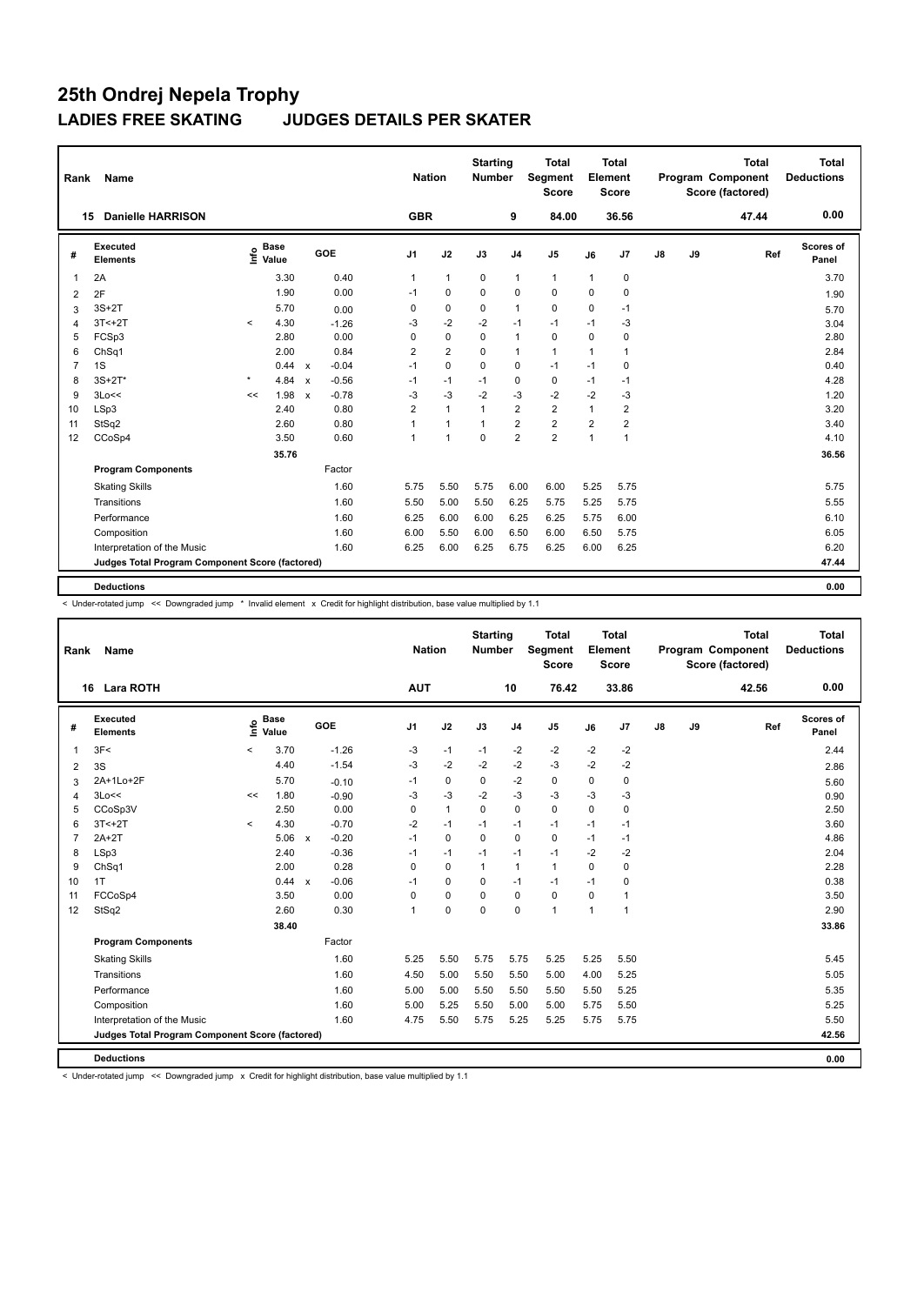| Rank           | <b>Name</b>                                     |         |                                  |              |         |                | <b>Nation</b> |                | <b>Starting</b><br><b>Number</b> |                | <b>Total</b><br>Segment<br>Score |                | <b>Total</b><br>Element<br><b>Score</b> |            |    | <b>Total</b><br>Program Component<br>Score (factored) |     | <b>Total</b><br><b>Deductions</b> |
|----------------|-------------------------------------------------|---------|----------------------------------|--------------|---------|----------------|---------------|----------------|----------------------------------|----------------|----------------------------------|----------------|-----------------------------------------|------------|----|-------------------------------------------------------|-----|-----------------------------------|
|                | <b>Danielle HARRISON</b><br>15                  |         |                                  |              |         |                | <b>GBR</b>    |                |                                  | 9              | 84.00                            |                | 36.56                                   |            |    | 47.44                                                 |     | 0.00                              |
| #              | Executed<br><b>Elements</b>                     |         | <b>Base</b><br>e Base<br>⊆ Value |              | GOE     | J <sub>1</sub> |               | J2             | J3                               | J <sub>4</sub> | J <sub>5</sub>                   | J6             | J7                                      | ${\sf J8}$ | J9 |                                                       | Ref | Scores of<br>Panel                |
| $\overline{1}$ | 2A                                              |         | 3.30                             |              | 0.40    | $\mathbf{1}$   |               | $\mathbf{1}$   | $\mathbf 0$                      | $\mathbf{1}$   | $\mathbf{1}$                     | 1              | 0                                       |            |    |                                                       |     | 3.70                              |
| 2              | 2F                                              |         | 1.90                             |              | 0.00    | $-1$           |               | $\mathbf 0$    | $\Omega$                         | $\mathbf 0$    | $\mathbf 0$                      | $\Omega$       | $\mathbf 0$                             |            |    |                                                       |     | 1.90                              |
| 3              | $3S+2T$                                         |         | 5.70                             |              | 0.00    | 0              |               | $\mathbf 0$    | $\mathbf 0$                      | $\mathbf{1}$   | $\mathbf 0$                      | $\Omega$       | $-1$                                    |            |    |                                                       |     | 5.70                              |
| $\overline{4}$ | $3T < +2T$                                      | $\prec$ | 4.30                             |              | $-1.26$ | $-3$           |               | $-2$           | $-2$                             | $-1$           | $-1$                             | $-1$           | $-3$                                    |            |    |                                                       |     | 3.04                              |
| 5              | FCSp3                                           |         | 2.80                             |              | 0.00    | $\Omega$       |               | $\mathbf 0$    | $\Omega$                         | $\mathbf{1}$   | $\mathbf 0$                      | $\Omega$       | 0                                       |            |    |                                                       |     | 2.80                              |
| 6              | Ch <sub>Sq1</sub>                               |         | 2.00                             |              | 0.84    | $\overline{2}$ |               | $\overline{2}$ | $\Omega$                         | $\mathbf{1}$   | $\mathbf{1}$                     | 1              | 1                                       |            |    |                                                       |     | 2.84                              |
| $\overline{7}$ | 1S                                              |         | 0.44                             | $\mathbf{x}$ | $-0.04$ | $-1$           |               | $\Omega$       | $\Omega$                         | $\mathbf 0$    | $-1$                             | $-1$           | 0                                       |            |    |                                                       |     | 0.40                              |
| 8              | $3S+2T^*$                                       | $\star$ | 4.84                             | $\mathsf{x}$ | $-0.56$ | $-1$           |               | $-1$           | $-1$                             | $\mathbf 0$    | $\mathbf 0$                      | $-1$           | $-1$                                    |            |    |                                                       |     | 4.28                              |
| 9              | 3Lo<<                                           | <<      | 1.98                             | $\mathsf{x}$ | $-0.78$ | $-3$           |               | $-3$           | $-2$                             | $-3$           | $-2$                             | $-2$           | $-3$                                    |            |    |                                                       |     | 1.20                              |
| 10             | LSp3                                            |         | 2.40                             |              | 0.80    | $\overline{2}$ |               | $\mathbf{1}$   | $\mathbf{1}$                     | $\overline{2}$ | $\overline{2}$                   | 1              | $\overline{2}$                          |            |    |                                                       |     | 3.20                              |
| 11             | StSq2                                           |         | 2.60                             |              | 0.80    |                |               | $\mathbf{1}$   | $\mathbf{1}$                     | $\overline{2}$ | $\overline{2}$                   | $\overline{2}$ | $\overline{2}$                          |            |    |                                                       |     | 3.40                              |
| 12             | CCoSp4                                          |         | 3.50                             |              | 0.60    |                |               | $\overline{1}$ | $\Omega$                         | $\overline{2}$ | $\overline{2}$                   | 1              | 1                                       |            |    |                                                       |     | 4.10                              |
|                |                                                 |         | 35.76                            |              |         |                |               |                |                                  |                |                                  |                |                                         |            |    |                                                       |     | 36.56                             |
|                | <b>Program Components</b>                       |         |                                  |              | Factor  |                |               |                |                                  |                |                                  |                |                                         |            |    |                                                       |     |                                   |
|                | <b>Skating Skills</b>                           |         |                                  |              | 1.60    | 5.75           |               | 5.50           | 5.75                             | 6.00           | 6.00                             | 5.25           | 5.75                                    |            |    |                                                       |     | 5.75                              |
|                | Transitions                                     |         |                                  |              | 1.60    | 5.50           |               | 5.00           | 5.50                             | 6.25           | 5.75                             | 5.25           | 5.75                                    |            |    |                                                       |     | 5.55                              |
|                | Performance                                     |         |                                  |              | 1.60    | 6.25           |               | 6.00           | 6.00                             | 6.25           | 6.25                             | 5.75           | 6.00                                    |            |    |                                                       |     | 6.10                              |
|                | Composition                                     |         |                                  |              | 1.60    | 6.00           |               | 5.50           | 6.00                             | 6.50           | 6.00                             | 6.50           | 5.75                                    |            |    |                                                       |     | 6.05                              |
|                | Interpretation of the Music                     |         |                                  |              | 1.60    | 6.25           |               | 6.00           | 6.25                             | 6.75           | 6.25                             | 6.00           | 6.25                                    |            |    |                                                       |     | 6.20                              |
|                | Judges Total Program Component Score (factored) |         |                                  |              |         |                |               |                |                                  |                |                                  |                |                                         |            |    |                                                       |     | 47.44                             |
|                | <b>Deductions</b>                               |         |                                  |              |         |                |               |                |                                  |                |                                  |                |                                         |            |    |                                                       |     | 0.00                              |

< Under-rotated jump << Downgraded jump \* Invalid element x Credit for highlight distribution, base value multiplied by 1.1

| Rank           | <b>Name</b>                                     |          |                      |                           |         |                | <b>Nation</b> |              | <b>Starting</b><br><b>Number</b> |                | <b>Total</b><br>Segment<br><b>Score</b> |              | Total<br>Element<br>Score |               |    | <b>Total</b><br>Program Component<br>Score (factored) | <b>Total</b><br><b>Deductions</b> |
|----------------|-------------------------------------------------|----------|----------------------|---------------------------|---------|----------------|---------------|--------------|----------------------------------|----------------|-----------------------------------------|--------------|---------------------------|---------------|----|-------------------------------------------------------|-----------------------------------|
|                | <b>Lara ROTH</b><br>16                          |          |                      |                           |         | <b>AUT</b>     |               |              |                                  | 10             | 76.42                                   |              | 33.86                     |               |    | 42.56                                                 | 0.00                              |
| #              | Executed<br><b>Elements</b>                     | lnfo     | <b>Base</b><br>Value |                           | GOE     | J <sub>1</sub> |               | J2           | J3                               | J <sub>4</sub> | J <sub>5</sub>                          | J6           | J7                        | $\mathsf{J}8$ | J9 | Ref                                                   | Scores of<br>Panel                |
| $\overline{1}$ | 3F<                                             | $\hat{}$ | 3.70                 |                           | $-1.26$ | -3             |               | $-1$         | $-1$                             | $-2$           | $-2$                                    | $-2$         | $-2$                      |               |    |                                                       | 2.44                              |
| $\overline{2}$ | 3S                                              |          | 4.40                 |                           | $-1.54$ | $-3$           |               | $-2$         | $-2$                             | $-2$           | $-3$                                    | $-2$         | $-2$                      |               |    |                                                       | 2.86                              |
| 3              | 2A+1Lo+2F                                       |          | 5.70                 |                           | $-0.10$ | $-1$           |               | 0            | $\mathbf 0$                      | $-2$           | $\pmb{0}$                               | $\mathbf 0$  | 0                         |               |    |                                                       | 5.60                              |
| $\overline{4}$ | 3Lo<<                                           | <<       | 1.80                 |                           | $-0.90$ | -3             |               | $-3$         | $-2$                             | $-3$           | $-3$                                    | $-3$         | -3                        |               |    |                                                       | 0.90                              |
| 5              | CCoSp3V                                         |          | 2.50                 |                           | 0.00    | 0              |               | $\mathbf{1}$ | 0                                | 0              | $\mathbf 0$                             | $\mathbf 0$  | 0                         |               |    |                                                       | 2.50                              |
| 6              | $3T < +2T$                                      | $\,<$    | 4.30                 |                           | $-0.70$ | $-2$           |               | $-1$         | $-1$                             | $-1$           | $-1$                                    | $-1$         | $-1$                      |               |    |                                                       | 3.60                              |
| $\overline{7}$ | $2A+2T$                                         |          | 5.06                 | $\mathbf x$               | $-0.20$ | $-1$           |               | $\Omega$     | $\Omega$                         | $\mathbf 0$    | $\mathbf 0$                             | $-1$         | $-1$                      |               |    |                                                       | 4.86                              |
| 8              | LSp3                                            |          | 2.40                 |                           | $-0.36$ | $-1$           |               | $-1$         | $-1$                             | $-1$           | $-1$                                    | $-2$         | $-2$                      |               |    |                                                       | 2.04                              |
| 9              | ChSq1                                           |          | 2.00                 |                           | 0.28    | 0              |               | $\mathbf 0$  | $\mathbf{1}$                     | $\overline{1}$ | $\mathbf{1}$                            | $\mathbf 0$  | 0                         |               |    |                                                       | 2.28                              |
| 10             | 1T                                              |          | 0.44                 | $\boldsymbol{\mathsf{x}}$ | $-0.06$ | $-1$           |               | 0            | 0                                | $-1$           | $-1$                                    | $-1$         | 0                         |               |    |                                                       | 0.38                              |
| 11             | FCCoSp4                                         |          | 3.50                 |                           | 0.00    | 0              |               | 0            | $\Omega$                         | $\mathbf 0$    | $\mathbf 0$                             | $\mathbf 0$  | 1                         |               |    |                                                       | 3.50                              |
| 12             | StSq2                                           |          | 2.60                 |                           | 0.30    | $\mathbf{1}$   |               | $\Omega$     | $\Omega$                         | $\mathbf 0$    | $\mathbf{1}$                            | $\mathbf{1}$ | 1                         |               |    |                                                       | 2.90                              |
|                |                                                 |          | 38.40                |                           |         |                |               |              |                                  |                |                                         |              |                           |               |    |                                                       | 33.86                             |
|                | <b>Program Components</b>                       |          |                      |                           | Factor  |                |               |              |                                  |                |                                         |              |                           |               |    |                                                       |                                   |
|                | <b>Skating Skills</b>                           |          |                      |                           | 1.60    | 5.25           |               | 5.50         | 5.75                             | 5.75           | 5.25                                    | 5.25         | 5.50                      |               |    |                                                       | 5.45                              |
|                | Transitions                                     |          |                      |                           | 1.60    | 4.50           |               | 5.00         | 5.50                             | 5.50           | 5.00                                    | 4.00         | 5.25                      |               |    |                                                       | 5.05                              |
|                | Performance                                     |          |                      |                           | 1.60    | 5.00           |               | 5.00         | 5.50                             | 5.50           | 5.50                                    | 5.50         | 5.25                      |               |    |                                                       | 5.35                              |
|                | Composition                                     |          |                      |                           | 1.60    | 5.00           |               | 5.25         | 5.50                             | 5.00           | 5.00                                    | 5.75         | 5.50                      |               |    |                                                       | 5.25                              |
|                | Interpretation of the Music                     |          |                      |                           | 1.60    | 4.75           |               | 5.50         | 5.75                             | 5.25           | 5.25                                    | 5.75         | 5.75                      |               |    |                                                       | 5.50                              |
|                | Judges Total Program Component Score (factored) |          |                      |                           |         |                |               |              |                                  |                |                                         |              |                           |               |    |                                                       | 42.56                             |
|                |                                                 |          |                      |                           |         |                |               |              |                                  |                |                                         |              |                           |               |    |                                                       |                                   |
|                | <b>Deductions</b>                               |          |                      |                           |         |                |               |              |                                  |                |                                         |              |                           |               |    |                                                       | 0.00                              |

< Under-rotated jump << Downgraded jump x Credit for highlight distribution, base value multiplied by 1.1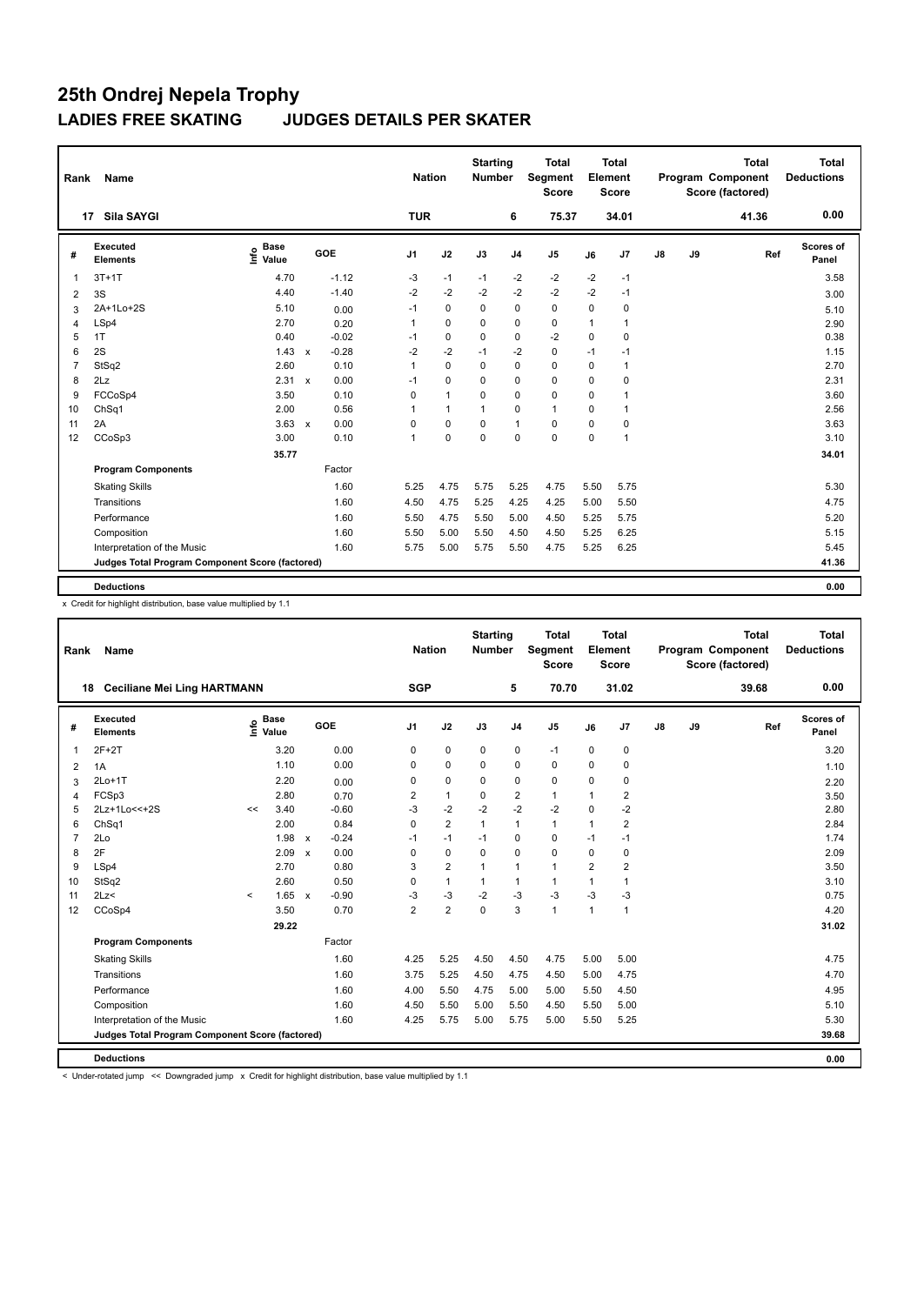| Rank           | <b>Name</b>                                     |                              |                         | <b>Nation</b>  |              | <b>Starting</b><br>Number |                | <b>Total</b><br><b>Segment</b><br><b>Score</b> |             | <b>Total</b><br>Element<br>Score |               |    | <b>Total</b><br>Program Component<br>Score (factored) | <b>Total</b><br><b>Deductions</b> |
|----------------|-------------------------------------------------|------------------------------|-------------------------|----------------|--------------|---------------------------|----------------|------------------------------------------------|-------------|----------------------------------|---------------|----|-------------------------------------------------------|-----------------------------------|
|                | Sila SAYGI<br>17                                |                              |                         | <b>TUR</b>     |              |                           | 6              | 75.37                                          |             | 34.01                            |               |    | 41.36                                                 | 0.00                              |
| #              | Executed<br><b>Elements</b>                     | <b>Base</b><br>Info<br>Value | <b>GOE</b>              | J <sub>1</sub> | J2           | J3                        | J <sub>4</sub> | J <sub>5</sub>                                 | J6          | J7                               | $\mathsf{J}8$ | J9 | Ref                                                   | Scores of<br>Panel                |
| $\overline{1}$ | $3T+1T$                                         | 4.70                         | $-1.12$                 | -3             | $-1$         | $-1$                      | $-2$           | $-2$                                           | $-2$        | $-1$                             |               |    |                                                       | 3.58                              |
| 2              | 3S                                              | 4.40                         | $-1.40$                 | $-2$           | $-2$         | $-2$                      | $-2$           | $-2$                                           | $-2$        | $-1$                             |               |    |                                                       | 3.00                              |
| 3              | 2A+1Lo+2S                                       | 5.10                         | 0.00                    | $-1$           | $\mathbf 0$  | $\Omega$                  | $\mathbf 0$    | $\mathbf 0$                                    | $\mathbf 0$ | 0                                |               |    |                                                       | 5.10                              |
| 4              | LSp4                                            | 2.70                         | 0.20                    | $\mathbf{1}$   | $\mathbf 0$  | $\Omega$                  | $\mathbf 0$    | $\mathbf 0$                                    | 1           | 1                                |               |    |                                                       | 2.90                              |
| 5              | 1T                                              | 0.40                         | $-0.02$                 | $-1$           | $\mathbf 0$  | $\mathbf 0$               | $\mathbf 0$    | $-2$                                           | $\mathbf 0$ | 0                                |               |    |                                                       | 0.38                              |
| 6              | 2S                                              | 1.43                         | $-0.28$<br>$\mathsf{x}$ | $-2$           | $-2$         | $-1$                      | $-2$           | $\mathbf 0$                                    | $-1$        | $-1$                             |               |    |                                                       | 1.15                              |
| $\overline{7}$ | StSq2                                           | 2.60                         | 0.10                    | 1              | $\mathbf 0$  | 0                         | $\mathbf 0$    | $\mathbf 0$                                    | 0           | -1                               |               |    |                                                       | 2.70                              |
| 8              | 2Lz                                             | $2.31 \times$                | 0.00                    | $-1$           | $\mathbf 0$  | $\Omega$                  | $\mathbf 0$    | $\Omega$                                       | $\Omega$    | 0                                |               |    |                                                       | 2.31                              |
| 9              | FCCoSp4                                         | 3.50                         | 0.10                    | 0              | $\mathbf{1}$ | 0                         | $\mathbf 0$    | $\mathbf 0$                                    | 0           | 1                                |               |    |                                                       | 3.60                              |
| 10             | Ch <sub>Sq1</sub>                               | 2.00                         | 0.56                    | 1              | $\mathbf{1}$ | 1                         | 0              | $\mathbf{1}$                                   | 0           | 1                                |               |    |                                                       | 2.56                              |
| 11             | 2A                                              | 3.63                         | 0.00<br>$\mathsf{x}$    | 0              | $\mathbf 0$  | 0                         | $\mathbf{1}$   | 0                                              | 0           | 0                                |               |    |                                                       | 3.63                              |
| 12             | CCoSp3                                          | 3.00                         | 0.10                    | $\mathbf{1}$   | $\mathbf 0$  | 0                         | $\mathbf 0$    | $\mathbf 0$                                    | $\mathbf 0$ | 1                                |               |    |                                                       | 3.10                              |
|                |                                                 | 35.77                        |                         |                |              |                           |                |                                                |             |                                  |               |    |                                                       | 34.01                             |
|                | <b>Program Components</b>                       |                              | Factor                  |                |              |                           |                |                                                |             |                                  |               |    |                                                       |                                   |
|                | <b>Skating Skills</b>                           |                              | 1.60                    | 5.25           | 4.75         | 5.75                      | 5.25           | 4.75                                           | 5.50        | 5.75                             |               |    |                                                       | 5.30                              |
|                | Transitions                                     |                              | 1.60                    | 4.50           | 4.75         | 5.25                      | 4.25           | 4.25                                           | 5.00        | 5.50                             |               |    |                                                       | 4.75                              |
|                | Performance                                     |                              | 1.60                    | 5.50           | 4.75         | 5.50                      | 5.00           | 4.50                                           | 5.25        | 5.75                             |               |    |                                                       | 5.20                              |
|                | Composition                                     |                              | 1.60                    | 5.50           | 5.00         | 5.50                      | 4.50           | 4.50                                           | 5.25        | 6.25                             |               |    |                                                       | 5.15                              |
|                | Interpretation of the Music                     |                              | 1.60                    | 5.75           | 5.00         | 5.75                      | 5.50           | 4.75                                           | 5.25        | 6.25                             |               |    |                                                       | 5.45                              |
|                | Judges Total Program Component Score (factored) |                              |                         |                |              |                           |                |                                                |             |                                  |               |    |                                                       | 41.36                             |
|                | <b>Deductions</b>                               |                              |                         |                |              |                           |                |                                                |             |                                  |               |    |                                                       | 0.00                              |

x Credit for highlight distribution, base value multiplied by 1.1

| <b>Name</b>                 |                                 |                                    |                                             |                                                 |                                                                                                                                                                |                |                             |                | <b>Total</b><br><b>Score</b>     |                                                          |                         |                                                                                 |    | <b>Total</b> | <b>Total</b><br><b>Deductions</b>            |
|-----------------------------|---------------------------------|------------------------------------|---------------------------------------------|-------------------------------------------------|----------------------------------------------------------------------------------------------------------------------------------------------------------------|----------------|-----------------------------|----------------|----------------------------------|----------------------------------------------------------|-------------------------|---------------------------------------------------------------------------------|----|--------------|----------------------------------------------|
|                             |                                 |                                    |                                             |                                                 |                                                                                                                                                                |                |                             | 5              |                                  |                                                          | 31.02                   |                                                                                 |    | 39.68        | 0.00                                         |
| Executed<br><b>Elements</b> |                                 |                                    |                                             |                                                 | J <sub>1</sub>                                                                                                                                                 | J2             | J3                          | J <sub>4</sub> | J <sub>5</sub>                   | J6                                                       | J7                      | $\mathsf{J}8$                                                                   | J9 |              | <b>Scores of</b><br>Panel                    |
| $2F+2T$                     |                                 | 3.20                               |                                             |                                                 | 0                                                                                                                                                              | $\mathbf 0$    | $\mathbf 0$                 | $\mathbf 0$    | $-1$                             | 0                                                        | 0                       |                                                                                 |    |              | 3.20                                         |
| 1A                          |                                 | 1.10                               |                                             |                                                 | 0                                                                                                                                                              | $\mathbf 0$    | 0                           | $\mathbf 0$    | $\mathbf 0$                      | 0                                                        | 0                       |                                                                                 |    |              | 1.10                                         |
| $2Lo+1T$                    |                                 | 2.20                               |                                             |                                                 | 0                                                                                                                                                              | 0              | 0                           | $\mathbf 0$    | 0                                | 0                                                        | 0                       |                                                                                 |    |              | 2.20                                         |
| FCSp3                       |                                 | 2.80                               |                                             |                                                 | 2                                                                                                                                                              | $\mathbf{1}$   | $\Omega$                    | $\overline{2}$ | $\mathbf{1}$                     | 1                                                        | 2                       |                                                                                 |    |              | 3.50                                         |
| 2Lz+1Lo << + 2S             | <<                              | 3.40                               |                                             |                                                 | $-3$                                                                                                                                                           | $-2$           | $-2$                        | $-2$           | $-2$                             | $\mathbf 0$                                              | $-2$                    |                                                                                 |    |              | 2.80                                         |
| ChSq1                       |                                 | 2.00                               |                                             |                                                 | 0                                                                                                                                                              | $\overline{2}$ | $\mathbf{1}$                | $\mathbf{1}$   | $\mathbf{1}$                     | $\mathbf{1}$                                             | $\overline{\mathbf{c}}$ |                                                                                 |    |              | 2.84                                         |
| 2Lo                         |                                 | 1.98                               | $\boldsymbol{\mathsf{x}}$                   |                                                 | $-1$                                                                                                                                                           | $-1$           | $-1$                        | 0              | 0                                | $-1$                                                     | $-1$                    |                                                                                 |    |              | 1.74                                         |
| 2F                          |                                 | 2.09                               | $\boldsymbol{\mathsf{x}}$                   |                                                 | 0                                                                                                                                                              | $\mathbf 0$    | $\mathbf 0$                 | $\mathbf 0$    | 0                                | $\mathbf 0$                                              | 0                       |                                                                                 |    |              | 2.09                                         |
| LSp4                        |                                 | 2.70                               |                                             |                                                 | 3                                                                                                                                                              | $\overline{2}$ | 1                           | $\mathbf{1}$   | $\mathbf{1}$                     | $\overline{2}$                                           | 2                       |                                                                                 |    |              | 3.50                                         |
| StSq2                       |                                 | 2.60                               |                                             |                                                 | $\mathbf 0$                                                                                                                                                    | $\mathbf{1}$   | $\mathbf{1}$                | $\mathbf{1}$   | $\mathbf{1}$                     | 1                                                        | 1                       |                                                                                 |    |              | 3.10                                         |
| 2Lz                         | $\prec$                         | 1.65                               | $\mathsf{x}$                                |                                                 | $-3$                                                                                                                                                           | $-3$           | $-2$                        | $-3$           | $-3$                             | $-3$                                                     | $-3$                    |                                                                                 |    |              | 0.75                                         |
| CCoSp4                      |                                 | 3.50                               |                                             |                                                 | $\overline{2}$                                                                                                                                                 | $\overline{2}$ | $\Omega$                    | 3              | $\mathbf{1}$                     | $\mathbf{1}$                                             | $\mathbf{1}$            |                                                                                 |    |              | 4.20                                         |
|                             |                                 | 29.22                              |                                             |                                                 |                                                                                                                                                                |                |                             |                |                                  |                                                          |                         |                                                                                 |    |              | 31.02                                        |
| <b>Program Components</b>   |                                 |                                    |                                             |                                                 |                                                                                                                                                                |                |                             |                |                                  |                                                          |                         |                                                                                 |    |              |                                              |
| <b>Skating Skills</b>       |                                 |                                    |                                             |                                                 | 4.25                                                                                                                                                           | 5.25           | 4.50                        |                | 4.75                             |                                                          | 5.00                    |                                                                                 |    |              | 4.75                                         |
| Transitions                 |                                 |                                    |                                             |                                                 | 3.75                                                                                                                                                           | 5.25           | 4.50                        |                | 4.50                             |                                                          | 4.75                    |                                                                                 |    |              | 4.70                                         |
| Performance                 |                                 |                                    |                                             |                                                 | 4.00                                                                                                                                                           | 5.50           | 4.75                        |                | 5.00                             |                                                          | 4.50                    |                                                                                 |    |              | 4.95                                         |
| Composition                 |                                 |                                    |                                             |                                                 | 4.50                                                                                                                                                           | 5.50           | 5.00                        |                | 4.50                             |                                                          | 5.00                    |                                                                                 |    |              | 5.10                                         |
| Interpretation of the Music |                                 |                                    |                                             |                                                 | 4.25                                                                                                                                                           | 5.75           | 5.00                        |                | 5.00                             |                                                          | 5.25                    |                                                                                 |    |              | 5.30                                         |
|                             |                                 |                                    |                                             |                                                 |                                                                                                                                                                |                |                             |                |                                  |                                                          |                         |                                                                                 |    |              | 39.68                                        |
|                             |                                 |                                    |                                             |                                                 |                                                                                                                                                                |                |                             |                |                                  |                                                          |                         |                                                                                 |    |              | 0.00                                         |
|                             | Rank<br>18<br><b>Deductions</b> | <b>Ceciliane Mei Ling HARTMANN</b> | <b>Base</b><br>e <sup>Base</sup><br>⊆ Value | Judges Total Program Component Score (factored) | GOE<br>0.00<br>0.00<br>0.00<br>0.70<br>$-0.60$<br>0.84<br>$-0.24$<br>0.00<br>0.80<br>0.50<br>$-0.90$<br>0.70<br>Factor<br>1.60<br>1.60<br>1.60<br>1.60<br>1.60 |                | <b>Nation</b><br><b>SGP</b> |                | <b>Starting</b><br><b>Number</b> | Segment<br>70.70<br>4.50<br>4.75<br>5.00<br>5.50<br>5.75 |                         | <b>Total</b><br>Element<br><b>Score</b><br>5.00<br>5.00<br>5.50<br>5.50<br>5.50 |    |              | Program Component<br>Score (factored)<br>Ref |

< Under-rotated jump << Downgraded jump x Credit for highlight distribution, base value multiplied by 1.1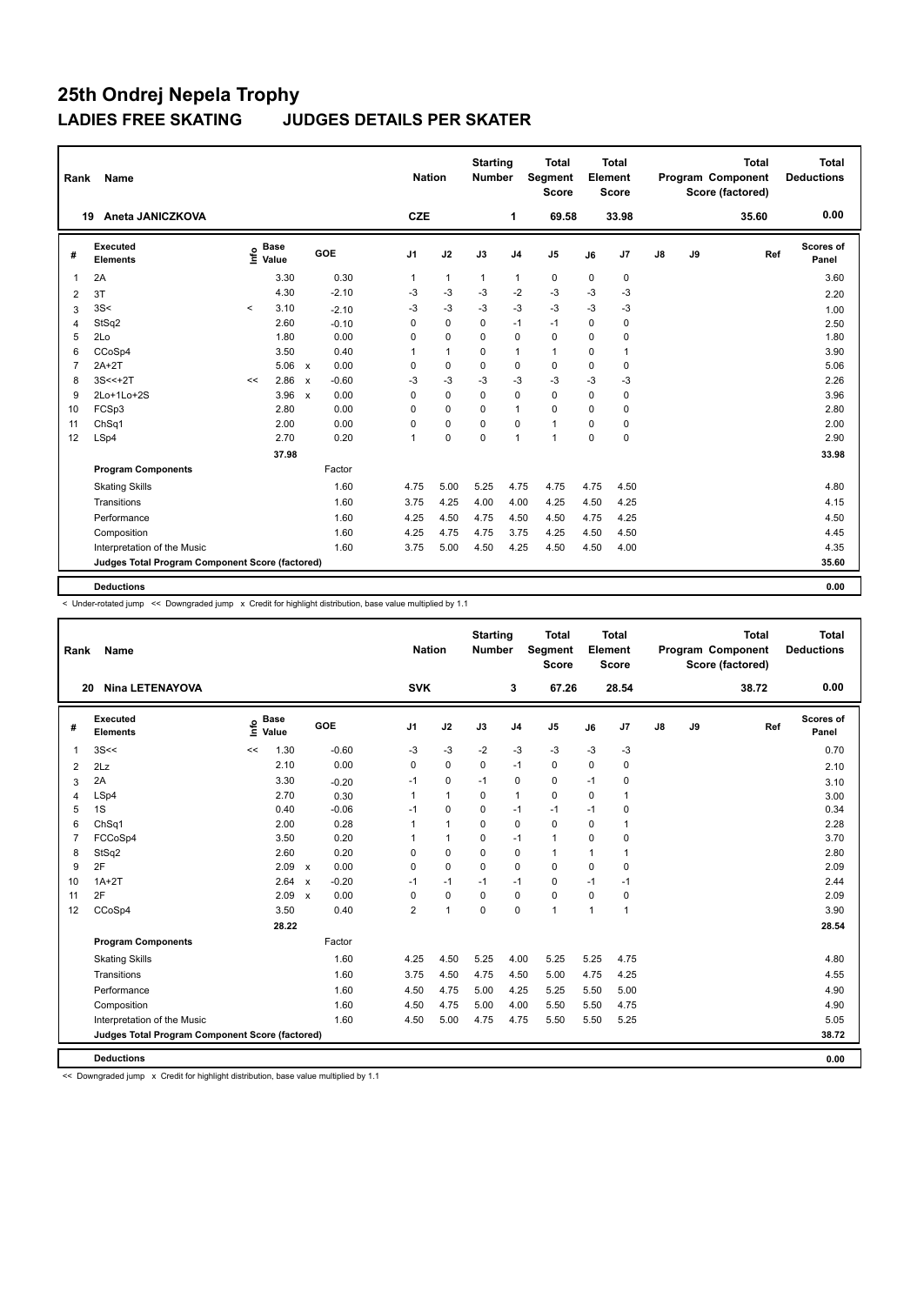| Rank           | Name                                            |       |                      | <b>Nation</b>             |            | <b>Starting</b><br>Number |              | <b>Total</b><br><b>Segment</b><br><b>Score</b> |                | Total<br>Element<br><b>Score</b> |             |                | <b>Total</b><br>Program Component<br>Score (factored) | Total<br><b>Deductions</b> |       |                    |
|----------------|-------------------------------------------------|-------|----------------------|---------------------------|------------|---------------------------|--------------|------------------------------------------------|----------------|----------------------------------|-------------|----------------|-------------------------------------------------------|----------------------------|-------|--------------------|
| 19             | Aneta JANICZKOVA                                |       |                      |                           |            | <b>CZE</b>                |              |                                                | 1              | 69.58                            |             | 33.98          |                                                       |                            | 35.60 | 0.00               |
| #              | Executed<br><b>Elements</b>                     | ١nfo  | <b>Base</b><br>Value |                           | <b>GOE</b> | J <sub>1</sub>            | J2           | J3                                             | J <sub>4</sub> | J <sub>5</sub>                   | J6          | J <sub>7</sub> | $\mathsf{J}8$                                         | J9                         | Ref   | Scores of<br>Panel |
| 1              | 2A                                              |       | 3.30                 |                           | 0.30       | $\mathbf{1}$              | $\mathbf{1}$ | $\mathbf{1}$                                   | $\mathbf{1}$   | 0                                | 0           | 0              |                                                       |                            |       | 3.60               |
| 2              | 3T                                              |       | 4.30                 |                           | $-2.10$    | -3                        | $-3$         | $-3$                                           | $-2$           | $-3$                             | -3          | $-3$           |                                                       |                            |       | 2.20               |
| 3              | 3S<                                             | $\,<$ | 3.10                 |                           | $-2.10$    | -3                        | $-3$         | $-3$                                           | $-3$           | $-3$                             | $-3$        | $-3$           |                                                       |                            |       | 1.00               |
| $\overline{4}$ | StSq2                                           |       | 2.60                 |                           | $-0.10$    | $\mathbf 0$               | $\mathbf 0$  | $\mathbf 0$                                    | $-1$           | $-1$                             | $\mathbf 0$ | 0              |                                                       |                            |       | 2.50               |
| 5              | 2Lo                                             |       | 1.80                 |                           | 0.00       | 0                         | $\mathbf 0$  | $\Omega$                                       | $\mathbf 0$    | $\mathbf 0$                      | $\Omega$    | 0              |                                                       |                            |       | 1.80               |
| 6              | CCoSp4                                          |       | 3.50                 |                           | 0.40       | 1                         | $\mathbf{1}$ | 0                                              | $\mathbf{1}$   | $\mathbf{1}$                     | 0           | 1              |                                                       |                            |       | 3.90               |
| $\overline{7}$ | $2A+2T$                                         |       | 5.06                 | $\mathsf{x}$              | 0.00       | 0                         | $\mathbf 0$  | $\mathbf 0$                                    | $\mathbf 0$    | $\mathbf 0$                      | $\mathbf 0$ | 0              |                                                       |                            |       | 5.06               |
| 8              | $3S < +2T$                                      | <<    | 2.86                 | $\boldsymbol{\mathsf{x}}$ | $-0.60$    | $-3$                      | $-3$         | $-3$                                           | $-3$           | $-3$                             | $-3$        | $-3$           |                                                       |                            |       | 2.26               |
| 9              | 2Lo+1Lo+2S                                      |       | 3.96                 | $\boldsymbol{\mathsf{x}}$ | 0.00       | 0                         | $\mathbf 0$  | $\mathbf 0$                                    | $\mathbf 0$    | $\mathbf 0$                      | 0           | 0              |                                                       |                            |       | 3.96               |
| 10             | FCSp3                                           |       | 2.80                 |                           | 0.00       | 0                         | 0            | 0                                              | $\mathbf{1}$   | $\mathbf 0$                      | 0           | 0              |                                                       |                            |       | 2.80               |
| 11             | Ch <sub>Sq1</sub>                               |       | 2.00                 |                           | 0.00       | $\Omega$                  | $\mathbf 0$  | $\Omega$                                       | $\mathbf 0$    | $\mathbf{1}$                     | $\Omega$    | 0              |                                                       |                            |       | 2.00               |
| 12             | LSp4                                            |       | 2.70                 |                           | 0.20       | $\mathbf{1}$              | $\mathbf 0$  | $\Omega$                                       | $\mathbf{1}$   | $\mathbf{1}$                     | $\Omega$    | $\Omega$       |                                                       |                            |       | 2.90               |
|                |                                                 |       | 37.98                |                           |            |                           |              |                                                |                |                                  |             |                |                                                       |                            |       | 33.98              |
|                | <b>Program Components</b>                       |       |                      |                           | Factor     |                           |              |                                                |                |                                  |             |                |                                                       |                            |       |                    |
|                | <b>Skating Skills</b>                           |       |                      |                           | 1.60       | 4.75                      | 5.00         | 5.25                                           | 4.75           | 4.75                             | 4.75        | 4.50           |                                                       |                            |       | 4.80               |
|                | Transitions                                     |       |                      |                           | 1.60       | 3.75                      | 4.25         | 4.00                                           | 4.00           | 4.25                             | 4.50        | 4.25           |                                                       |                            |       | 4.15               |
|                | Performance                                     |       |                      |                           | 1.60       | 4.25                      | 4.50         | 4.75                                           | 4.50           | 4.50                             | 4.75        | 4.25           |                                                       |                            |       | 4.50               |
|                | Composition                                     |       |                      |                           | 1.60       | 4.25                      | 4.75         | 4.75                                           | 3.75           | 4.25                             | 4.50        | 4.50           |                                                       |                            |       | 4.45               |
|                | Interpretation of the Music                     |       |                      |                           | 1.60       | 3.75                      | 5.00         | 4.50                                           | 4.25           | 4.50                             | 4.50        | 4.00           |                                                       |                            |       | 4.35               |
|                | Judges Total Program Component Score (factored) |       |                      |                           |            |                           |              |                                                |                |                                  |             |                |                                                       |                            |       | 35.60              |
|                |                                                 |       |                      |                           |            |                           |              |                                                |                |                                  |             |                |                                                       |                            |       |                    |
|                | <b>Deductions</b>                               |       |                      |                           |            |                           |              |                                                |                |                                  |             |                |                                                       |                            |       | 0.00               |

< Under-rotated jump << Downgraded jump x Credit for highlight distribution, base value multiplied by 1.1

| Rank           | Name                                            |                              |                           |         | <b>Nation</b>  |              | <b>Starting</b><br><b>Number</b> |                | <b>Total</b><br>Segment<br><b>Score</b> |             | <b>Total</b><br>Element<br><b>Score</b> |    |    | <b>Total</b><br>Program Component<br>Score (factored) | <b>Total</b><br><b>Deductions</b> |
|----------------|-------------------------------------------------|------------------------------|---------------------------|---------|----------------|--------------|----------------------------------|----------------|-----------------------------------------|-------------|-----------------------------------------|----|----|-------------------------------------------------------|-----------------------------------|
|                | <b>Nina LETENAYOVA</b><br>20                    |                              |                           |         | <b>SVK</b>     |              |                                  | 3              | 67.26                                   |             | 28.54                                   |    |    | 38.72                                                 | 0.00                              |
| #              | Executed<br><b>Elements</b>                     | <b>Base</b><br>lnfo<br>Value |                           | GOE     | J <sub>1</sub> | J2           | J3                               | J <sub>4</sub> | J <sub>5</sub>                          | J6          | J7                                      | J8 | J9 | Ref                                                   | <b>Scores of</b><br>Panel         |
| $\overline{1}$ | 3S<<                                            | 1.30<br><<                   |                           | $-0.60$ | -3             | $-3$         | $-2$                             | $-3$           | $-3$                                    | $-3$        | $-3$                                    |    |    |                                                       | 0.70                              |
| 2              | 2Lz                                             | 2.10                         |                           | 0.00    | 0              | $\pmb{0}$    | $\mathbf 0$                      | $-1$           | $\pmb{0}$                               | $\mathbf 0$ | 0                                       |    |    |                                                       | 2.10                              |
| 3              | 2A                                              | 3.30                         |                           | $-0.20$ | $-1$           | $\mathbf 0$  | $-1$                             | $\mathbf 0$    | $\mathbf 0$                             | $-1$        | 0                                       |    |    |                                                       | 3.10                              |
| 4              | LSp4                                            | 2.70                         |                           | 0.30    | 1              | $\mathbf{1}$ | 0                                | $\mathbf{1}$   | $\mathbf 0$                             | $\Omega$    | 1                                       |    |    |                                                       | 3.00                              |
| 5              | 1S                                              | 0.40                         |                           | $-0.06$ | $-1$           | $\mathbf 0$  | 0                                | $-1$           | $-1$                                    | $-1$        | 0                                       |    |    |                                                       | 0.34                              |
| 6              | ChSq1                                           | 2.00                         |                           | 0.28    | 1              | $\mathbf{1}$ | 0                                | $\mathbf 0$    | $\mathbf 0$                             | 0           | 1                                       |    |    |                                                       | 2.28                              |
| $\overline{7}$ | FCCoSp4                                         | 3.50                         |                           | 0.20    | 1              | $\mathbf{1}$ | 0                                | $-1$           | $\mathbf{1}$                            | 0           | 0                                       |    |    |                                                       | 3.70                              |
| 8              | StSq2                                           | 2.60                         |                           | 0.20    | 0              | $\mathbf 0$  | $\mathbf 0$                      | $\mathbf 0$    | $\mathbf{1}$                            | 1           | 1                                       |    |    |                                                       | 2.80                              |
| 9              | 2F                                              | 2.09                         | $\mathbf{x}$              | 0.00    | $\Omega$       | $\Omega$     | $\Omega$                         | $\mathbf 0$    | $\Omega$                                | $\Omega$    | $\Omega$                                |    |    |                                                       | 2.09                              |
| 10             | $1A+2T$                                         | 2.64                         | $\boldsymbol{\mathsf{x}}$ | $-0.20$ | $-1$           | $-1$         | $-1$                             | $-1$           | $\mathbf 0$                             | $-1$        | $-1$                                    |    |    |                                                       | 2.44                              |
| 11             | 2F                                              | 2.09                         | $\boldsymbol{\mathsf{x}}$ | 0.00    | $\mathbf 0$    | $\mathbf 0$  | $\mathbf 0$                      | $\mathbf 0$    | 0                                       | $\mathbf 0$ | 0                                       |    |    |                                                       | 2.09                              |
| 12             | CCoSp4                                          | 3.50                         |                           | 0.40    | $\overline{2}$ | 1            | $\Omega$                         | $\mathbf 0$    | $\mathbf{1}$                            | 1           | 1                                       |    |    |                                                       | 3.90                              |
|                |                                                 | 28.22                        |                           |         |                |              |                                  |                |                                         |             |                                         |    |    |                                                       | 28.54                             |
|                | <b>Program Components</b>                       |                              |                           | Factor  |                |              |                                  |                |                                         |             |                                         |    |    |                                                       |                                   |
|                | <b>Skating Skills</b>                           |                              |                           | 1.60    | 4.25           | 4.50         | 5.25                             | 4.00           | 5.25                                    | 5.25        | 4.75                                    |    |    |                                                       | 4.80                              |
|                | Transitions                                     |                              |                           | 1.60    | 3.75           | 4.50         | 4.75                             | 4.50           | 5.00                                    | 4.75        | 4.25                                    |    |    |                                                       | 4.55                              |
|                | Performance                                     |                              |                           | 1.60    | 4.50           | 4.75         | 5.00                             | 4.25           | 5.25                                    | 5.50        | 5.00                                    |    |    |                                                       | 4.90                              |
|                | Composition                                     |                              |                           | 1.60    | 4.50           | 4.75         | 5.00                             | 4.00           | 5.50                                    | 5.50        | 4.75                                    |    |    |                                                       | 4.90                              |
|                | Interpretation of the Music                     |                              |                           | 1.60    | 4.50           | 5.00         | 4.75                             | 4.75           | 5.50                                    | 5.50        | 5.25                                    |    |    |                                                       | 5.05                              |
|                | Judges Total Program Component Score (factored) |                              |                           |         |                |              |                                  |                |                                         |             |                                         |    |    |                                                       | 38.72                             |
|                | <b>Deductions</b>                               |                              |                           |         |                |              |                                  |                |                                         |             |                                         |    |    |                                                       | 0.00                              |

<< Downgraded jump x Credit for highlight distribution, base value multiplied by 1.1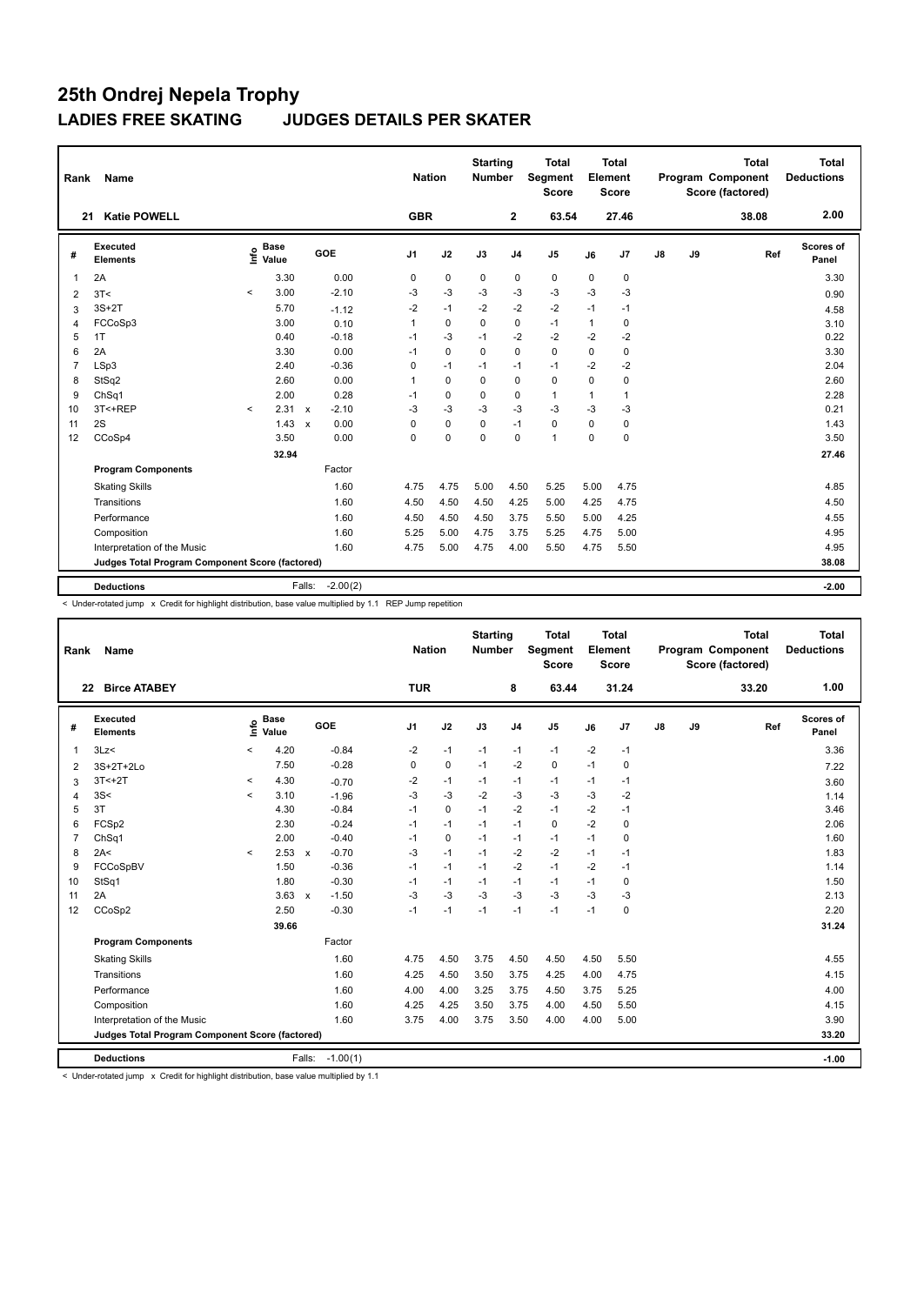| Rank           | Name                                            |         |                      |                           |            | <b>Nation</b>  |             | <b>Starting</b><br><b>Number</b> |                | <b>Total</b><br><b>Segment</b><br><b>Score</b> |              | <b>Total</b><br>Element<br><b>Score</b> |               |    | <b>Total</b><br>Program Component<br>Score (factored) | Total<br><b>Deductions</b> |
|----------------|-------------------------------------------------|---------|----------------------|---------------------------|------------|----------------|-------------|----------------------------------|----------------|------------------------------------------------|--------------|-----------------------------------------|---------------|----|-------------------------------------------------------|----------------------------|
| 21             | <b>Katie POWELL</b>                             |         |                      |                           |            | <b>GBR</b>     |             |                                  | $\mathbf{2}$   | 63.54                                          |              | 27.46                                   |               |    | 38.08                                                 | 2.00                       |
| #              | Executed<br><b>Elements</b>                     | ١nf٥    | <b>Base</b><br>Value |                           | <b>GOE</b> | J <sub>1</sub> | J2          | J3                               | J <sub>4</sub> | J <sub>5</sub>                                 | J6           | J7                                      | $\mathsf{J}8$ | J9 | Ref                                                   | <b>Scores of</b><br>Panel  |
| $\overline{1}$ | 2A                                              |         | 3.30                 |                           | 0.00       | 0              | $\pmb{0}$   | 0                                | $\mathbf 0$    | $\pmb{0}$                                      | 0            | 0                                       |               |    |                                                       | 3.30                       |
| 2              | 3T<                                             | $\prec$ | 3.00                 |                           | $-2.10$    | -3             | $-3$        | $-3$                             | $-3$           | $-3$                                           | $-3$         | $-3$                                    |               |    |                                                       | 0.90                       |
| 3              | $3S+2T$                                         |         | 5.70                 |                           | $-1.12$    | $-2$           | $-1$        | $-2$                             | $-2$           | $-2$                                           | $-1$         | $-1$                                    |               |    |                                                       | 4.58                       |
| 4              | FCCoSp3                                         |         | 3.00                 |                           | 0.10       | 1              | $\mathbf 0$ | $\mathbf 0$                      | $\mathbf 0$    | $-1$                                           | $\mathbf{1}$ | 0                                       |               |    |                                                       | 3.10                       |
| 5              | 1T                                              |         | 0.40                 |                           | $-0.18$    | $-1$           | $-3$        | $-1$                             | $-2$           | $-2$                                           | $-2$         | $-2$                                    |               |    |                                                       | 0.22                       |
| 6              | 2A                                              |         | 3.30                 |                           | 0.00       | $-1$           | $\mathbf 0$ | $\Omega$                         | $\mathbf 0$    | $\Omega$                                       | $\Omega$     | 0                                       |               |    |                                                       | 3.30                       |
| $\overline{7}$ | LSp3                                            |         | 2.40                 |                           | $-0.36$    | 0              | $-1$        | $-1$                             | $-1$           | $-1$                                           | $-2$         | $-2$                                    |               |    |                                                       | 2.04                       |
| 8              | StSq2                                           |         | 2.60                 |                           | 0.00       | 1              | $\Omega$    | $\Omega$                         | $\mathbf 0$    | $\mathbf 0$                                    | $\Omega$     | 0                                       |               |    |                                                       | 2.60                       |
| 9              | Ch <sub>Sq1</sub>                               |         | 2.00                 |                           | 0.28       | $-1$           | 0           | 0                                | $\mathbf 0$    | $\mathbf{1}$                                   | 1            | 1                                       |               |    |                                                       | 2.28                       |
| 10             | 3T<+REP                                         | $\prec$ | 2.31                 | $\mathsf{x}$              | $-2.10$    | -3             | $-3$        | $-3$                             | $-3$           | $-3$                                           | $-3$         | $-3$                                    |               |    |                                                       | 0.21                       |
| 11             | 2S                                              |         | 1.43                 | $\boldsymbol{\mathsf{x}}$ | 0.00       | 0              | $\mathbf 0$ | $\mathbf 0$                      | $-1$           | $\mathbf 0$                                    | 0            | 0                                       |               |    |                                                       | 1.43                       |
| 12             | CCoSp4                                          |         | 3.50                 |                           | 0.00       | $\mathbf 0$    | $\mathbf 0$ | $\Omega$                         | $\mathbf 0$    | $\mathbf{1}$                                   | $\Omega$     | 0                                       |               |    |                                                       | 3.50                       |
|                |                                                 |         | 32.94                |                           |            |                |             |                                  |                |                                                |              |                                         |               |    |                                                       | 27.46                      |
|                | <b>Program Components</b>                       |         |                      |                           | Factor     |                |             |                                  |                |                                                |              |                                         |               |    |                                                       |                            |
|                | <b>Skating Skills</b>                           |         |                      |                           | 1.60       | 4.75           | 4.75        | 5.00                             | 4.50           | 5.25                                           | 5.00         | 4.75                                    |               |    |                                                       | 4.85                       |
|                | Transitions                                     |         |                      |                           | 1.60       | 4.50           | 4.50        | 4.50                             | 4.25           | 5.00                                           | 4.25         | 4.75                                    |               |    |                                                       | 4.50                       |
|                | Performance                                     |         |                      |                           | 1.60       | 4.50           | 4.50        | 4.50                             | 3.75           | 5.50                                           | 5.00         | 4.25                                    |               |    |                                                       | 4.55                       |
|                | Composition                                     |         |                      |                           | 1.60       | 5.25           | 5.00        | 4.75                             | 3.75           | 5.25                                           | 4.75         | 5.00                                    |               |    |                                                       | 4.95                       |
|                | Interpretation of the Music                     |         |                      |                           | 1.60       | 4.75           | 5.00        | 4.75                             | 4.00           | 5.50                                           | 4.75         | 5.50                                    |               |    |                                                       | 4.95                       |
|                | Judges Total Program Component Score (factored) |         |                      |                           |            |                |             |                                  |                |                                                |              |                                         |               |    |                                                       | 38.08                      |
|                | <b>Deductions</b>                               |         |                      | Falls:                    | $-2.00(2)$ |                |             |                                  |                |                                                |              |                                         |               |    |                                                       | $-2.00$                    |

< Under-rotated jump x Credit for highlight distribution, base value multiplied by 1.1 REP Jump repetition

| Rank           | Name                                            |         |                      |              |            | <b>Nation</b>  |             | <b>Starting</b><br><b>Number</b> |                | <b>Total</b><br>Segment<br><b>Score</b> |      | <b>Total</b><br>Element<br><b>Score</b> |               |    | <b>Total</b><br>Program Component<br>Score (factored) | <b>Total</b><br><b>Deductions</b> |
|----------------|-------------------------------------------------|---------|----------------------|--------------|------------|----------------|-------------|----------------------------------|----------------|-----------------------------------------|------|-----------------------------------------|---------------|----|-------------------------------------------------------|-----------------------------------|
|                | <b>Birce ATABEY</b><br>22                       |         |                      |              |            | <b>TUR</b>     |             |                                  | 8              | 63.44                                   |      | 31.24                                   |               |    | 33.20                                                 | 1.00                              |
| #              | Executed<br><b>Elements</b>                     | ١nfo    | <b>Base</b><br>Value |              | GOE        | J <sub>1</sub> | J2          | J3                               | J <sub>4</sub> | J <sub>5</sub>                          | J6   | J7                                      | $\mathsf{J}8$ | J9 | Ref                                                   | <b>Scores of</b><br>Panel         |
| 1              | 3Lz                                             | <       | 4.20                 |              | $-0.84$    | -2             | $-1$        | $-1$                             | $-1$           | $-1$                                    | $-2$ | $-1$                                    |               |    |                                                       | 3.36                              |
| 2              | 3S+2T+2Lo                                       |         | 7.50                 |              | $-0.28$    | 0              | $\mathbf 0$ | $-1$                             | $-2$           | $\mathbf 0$                             | $-1$ | 0                                       |               |    |                                                       | 7.22                              |
| 3              | $3T < +2T$                                      | $\prec$ | 4.30                 |              | $-0.70$    | -2             | $-1$        | $-1$                             | $-1$           | $-1$                                    | $-1$ | $-1$                                    |               |    |                                                       | 3.60                              |
| 4              | 3S<                                             | $\prec$ | 3.10                 |              | $-1.96$    | $-3$           | $-3$        | $-2$                             | $-3$           | $-3$                                    | $-3$ | $-2$                                    |               |    |                                                       | 1.14                              |
| 5              | 3T                                              |         | 4.30                 |              | $-0.84$    | $-1$           | $\mathbf 0$ | $-1$                             | $-2$           | $-1$                                    | $-2$ | $-1$                                    |               |    |                                                       | 3.46                              |
| 6              | FCSp2                                           |         | 2.30                 |              | $-0.24$    | $-1$           | $-1$        | $-1$                             | $-1$           | 0                                       | $-2$ | 0                                       |               |    |                                                       | 2.06                              |
| $\overline{7}$ | Ch <sub>Sq1</sub>                               |         | 2.00                 |              | $-0.40$    | $-1$           | 0           | $-1$                             | $-1$           | $-1$                                    | $-1$ | 0                                       |               |    |                                                       | 1.60                              |
| 8              | 2A<                                             | $\prec$ | 2.53                 | $\mathsf{x}$ | $-0.70$    | $-3$           | $-1$        | $-1$                             | $-2$           | $-2$                                    | $-1$ | $-1$                                    |               |    |                                                       | 1.83                              |
| 9              | FCCoSpBV                                        |         | 1.50                 |              | $-0.36$    | $-1$           | $-1$        | $-1$                             | $-2$           | $-1$                                    | $-2$ | $-1$                                    |               |    |                                                       | 1.14                              |
| 10             | StSq1                                           |         | 1.80                 |              | $-0.30$    | $-1$           | $-1$        | $-1$                             | $-1$           | $-1$                                    | $-1$ | 0                                       |               |    |                                                       | 1.50                              |
| 11             | 2A                                              |         | 3.63                 | $\mathbf{x}$ | $-1.50$    | $-3$           | $-3$        | $-3$                             | $-3$           | $-3$                                    | $-3$ | $-3$                                    |               |    |                                                       | 2.13                              |
| 12             | CCoSp2                                          |         | 2.50                 |              | $-0.30$    | $-1$           | $-1$        | $-1$                             | $-1$           | $-1$                                    | $-1$ | 0                                       |               |    |                                                       | 2.20                              |
|                |                                                 |         | 39.66                |              |            |                |             |                                  |                |                                         |      |                                         |               |    |                                                       | 31.24                             |
|                | <b>Program Components</b>                       |         |                      |              | Factor     |                |             |                                  |                |                                         |      |                                         |               |    |                                                       |                                   |
|                | <b>Skating Skills</b>                           |         |                      |              | 1.60       | 4.75           | 4.50        | 3.75                             | 4.50           | 4.50                                    | 4.50 | 5.50                                    |               |    |                                                       | 4.55                              |
|                | Transitions                                     |         |                      |              | 1.60       | 4.25           | 4.50        | 3.50                             | 3.75           | 4.25                                    | 4.00 | 4.75                                    |               |    |                                                       | 4.15                              |
|                | Performance                                     |         |                      |              | 1.60       | 4.00           | 4.00        | 3.25                             | 3.75           | 4.50                                    | 3.75 | 5.25                                    |               |    |                                                       | 4.00                              |
|                | Composition                                     |         |                      |              | 1.60       | 4.25           | 4.25        | 3.50                             | 3.75           | 4.00                                    | 4.50 | 5.50                                    |               |    |                                                       | 4.15                              |
|                | Interpretation of the Music                     |         |                      |              | 1.60       | 3.75           | 4.00        | 3.75                             | 3.50           | 4.00                                    | 4.00 | 5.00                                    |               |    |                                                       | 3.90                              |
|                | Judges Total Program Component Score (factored) |         |                      |              |            |                |             |                                  |                |                                         |      |                                         |               |    |                                                       | 33.20                             |
|                | <b>Deductions</b>                               |         |                      | Falls:       | $-1.00(1)$ |                |             |                                  |                |                                         |      |                                         |               |    |                                                       | $-1.00$                           |

< Under-rotated jump x Credit for highlight distribution, base value multiplied by 1.1